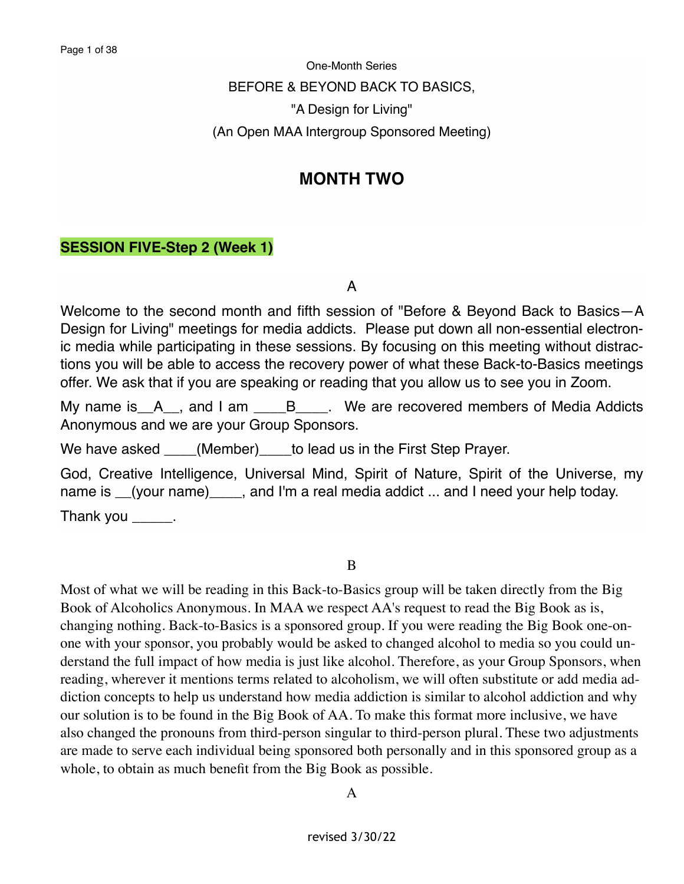One-Month Series BEFORE & BEYOND BACK TO BASICS, "A Design for Living" (An Open MAA Intergroup Sponsored Meeting)

# **MONTH TWO**

## **SESSION FIVE-Step 2 (Week 1)**

A

Welcome to the second month and fifth session of "Before & Beyond Back to Basics—A Design for Living" meetings for media addicts. Please put down all non-essential electronic media while participating in these sessions. By focusing on this meeting without distractions you will be able to access the recovery power of what these Back-to-Basics meetings offer. We ask that if you are speaking or reading that you allow us to see you in Zoom.

My name is A<sub>\_\_</sub>, and I am \_\_\_\_B<sub>\_\_\_\_</sub>. We are recovered members of Media Addicts Anonymous and we are your Group Sponsors.

We have asked \_\_\_\_(Member)\_\_\_\_to lead us in the First Step Prayer.

God, Creative Intelligence, Universal Mind, Spirit of Nature, Spirit of the Universe, my name is (your name), and I'm a real media addict ... and I need your help today. Thank you \_\_\_\_\_\_.

B

Most of what we will be reading in this Back-to-Basics group will be taken directly from the Big Book of Alcoholics Anonymous. In MAA we respect AA's request to read the Big Book as is, changing nothing. Back-to-Basics is a sponsored group. If you were reading the Big Book one-onone with your sponsor, you probably would be asked to changed alcohol to media so you could understand the full impact of how media is just like alcohol. Therefore, as your Group Sponsors, when reading, wherever it mentions terms related to alcoholism, we will often substitute or add media addiction concepts to help us understand how media addiction is similar to alcohol addiction and why our solution is to be found in the Big Book of AA. To make this format more inclusive, we have also changed the pronouns from third-person singular to third-person plural. These two adjustments are made to serve each individual being sponsored both personally and in this sponsored group as a whole, to obtain as much benefit from the Big Book as possible.

A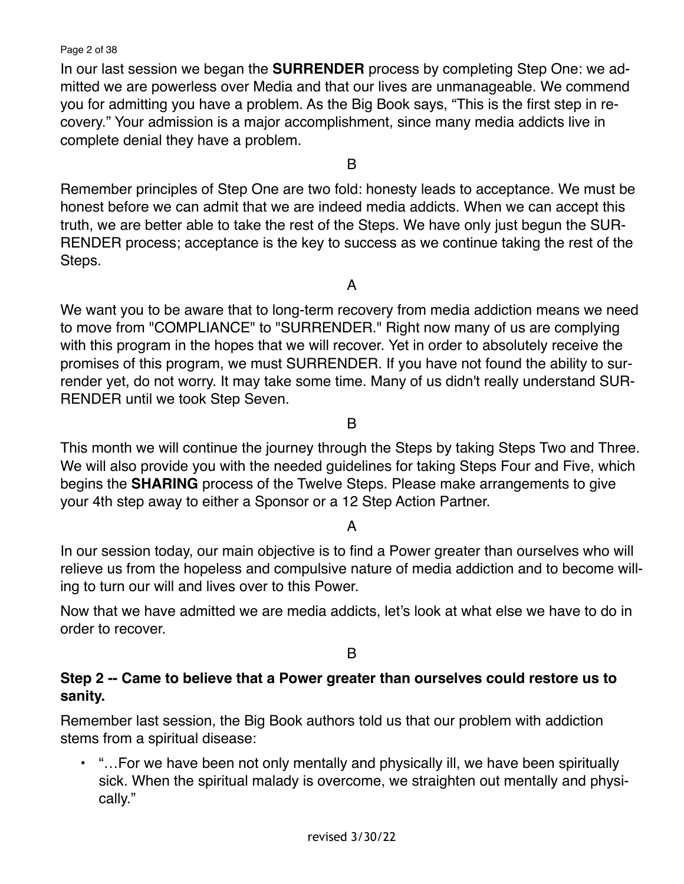Page 2 of 38

In our last session we began the **SURRENDER** process by completing Step One: we admitted we are powerless over Media and that our lives are unmanageable. We commend you for admitting you have a problem. As the Big Book says, "This is the first step in recovery." Your admission is a major accomplishment, since many media addicts live in complete denial they have a problem.

B

Remember principles of Step One are two fold: honesty leads to acceptance. We must be honest before we can admit that we are indeed media addicts. When we can accept this truth, we are better able to take the rest of the Steps. We have only just begun the SUR-RENDER process; acceptance is the key to success as we continue taking the rest of the Steps.

A

We want you to be aware that to long-term recovery from media addiction means we need to move from "COMPLIANCE" to "SURRENDER." Right now many of us are complying with this program in the hopes that we will recover. Yet in order to absolutely receive the promises of this program, we must SURRENDER. If you have not found the ability to surrender yet, do not worry. It may take some time. Many of us didn't really understand SUR-RENDER until we took Step Seven.

B

This month we will continue the journey through the Steps by taking Steps Two and Three. We will also provide you with the needed guidelines for taking Steps Four and Five, which begins the **SHARING** process of the Twelve Steps. Please make arrangements to give your 4th step away to either a Sponsor or a 12 Step Action Partner.

## A

In our session today, our main objective is to find a Power greater than ourselves who will relieve us from the hopeless and compulsive nature of media addiction and to become willing to turn our will and lives over to this Power.

Now that we have admitted we are media addicts, let's look at what else we have to do in order to recover.

B

## **Step 2 -- Came to believe that a Power greater than ourselves could restore us to sanity.**

Remember last session, the Big Book authors told us that our problem with addiction stems from a spiritual disease:

• "…For we have been not only mentally and physically ill, we have been spiritually sick. When the spiritual malady is overcome, we straighten out mentally and physically."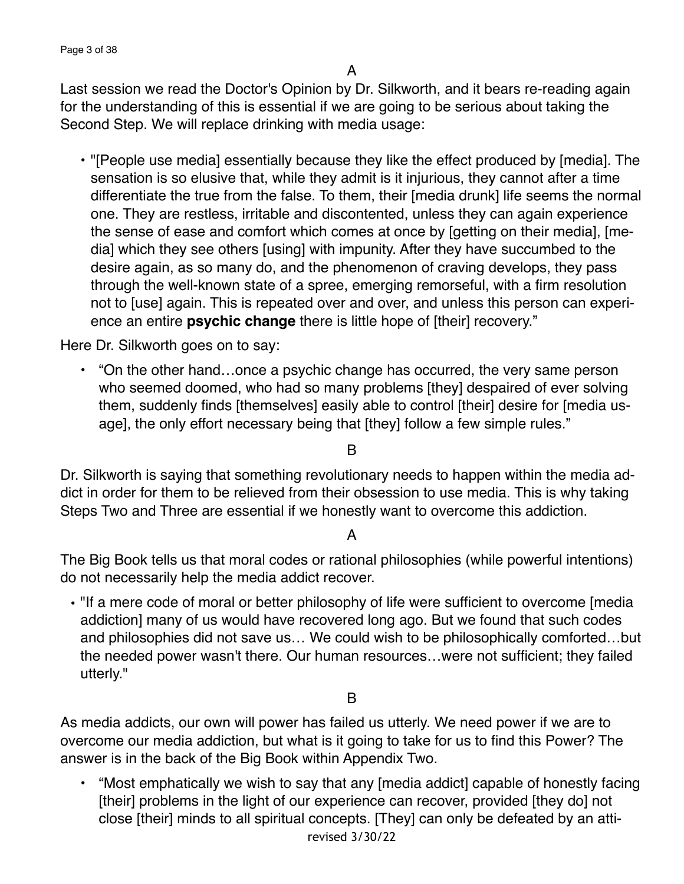Last session we read the Doctor's Opinion by Dr. Silkworth, and it bears re-reading again for the understanding of this is essential if we are going to be serious about taking the Second Step. We will replace drinking with media usage:

• "[People use media] essentially because they like the effect produced by [media]. The sensation is so elusive that, while they admit is it injurious, they cannot after a time differentiate the true from the false. To them, their [media drunk] life seems the normal one. They are restless, irritable and discontented, unless they can again experience the sense of ease and comfort which comes at once by [getting on their media], [media] which they see others [using] with impunity. After they have succumbed to the desire again, as so many do, and the phenomenon of craving develops, they pass through the well-known state of a spree, emerging remorseful, with a firm resolution not to [use] again. This is repeated over and over, and unless this person can experience an entire **psychic change** there is little hope of [their] recovery."

Here Dr. Silkworth goes on to say:

• "On the other hand…once a psychic change has occurred, the very same person who seemed doomed, who had so many problems [they] despaired of ever solving them, suddenly finds [themselves] easily able to control [their] desire for [media usage], the only effort necessary being that [they] follow a few simple rules."

B

Dr. Silkworth is saying that something revolutionary needs to happen within the media addict in order for them to be relieved from their obsession to use media. This is why taking Steps Two and Three are essential if we honestly want to overcome this addiction.

A

The Big Book tells us that moral codes or rational philosophies (while powerful intentions) do not necessarily help the media addict recover.

• "If a mere code of moral or better philosophy of life were sufficient to overcome [media addiction] many of us would have recovered long ago. But we found that such codes and philosophies did not save us… We could wish to be philosophically comforted…but the needed power wasn't there. Our human resources…were not sufficient; they failed utterly."

## B

As media addicts, our own will power has failed us utterly. We need power if we are to overcome our media addiction, but what is it going to take for us to find this Power? The answer is in the back of the Big Book within Appendix Two.

• "Most emphatically we wish to say that any [media addict] capable of honestly facing [their] problems in the light of our experience can recover, provided [they do] not close [their] minds to all spiritual concepts. [They] can only be defeated by an attirevised 3/30/22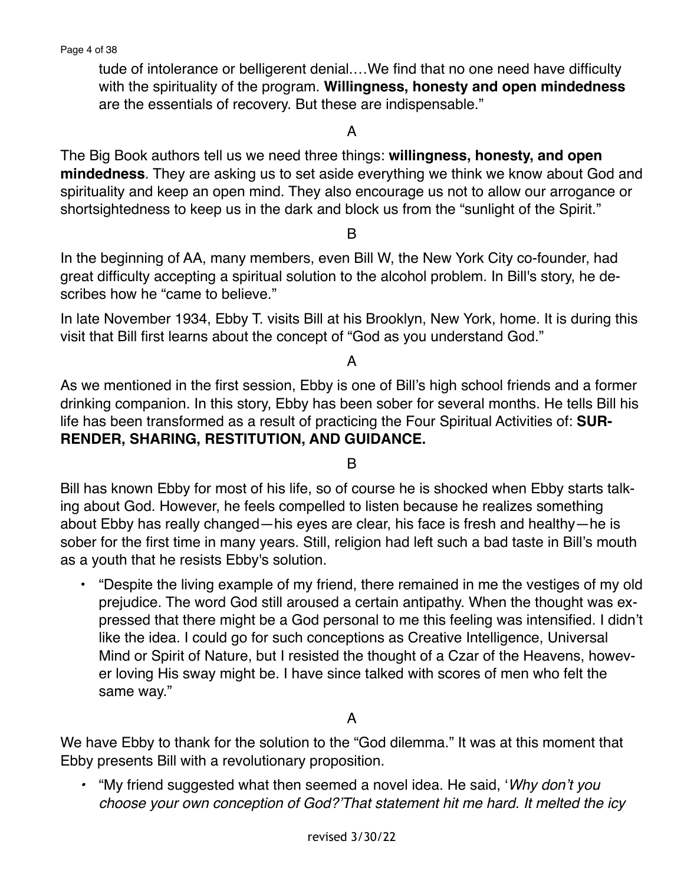tude of intolerance or belligerent denial.…We find that no one need have difficulty with the spirituality of the program. **Willingness, honesty and open mindedness**  are the essentials of recovery. But these are indispensable."

A

The Big Book authors tell us we need three things: **willingness, honesty, and open mindedness**. They are asking us to set aside everything we think we know about God and spirituality and keep an open mind. They also encourage us not to allow our arrogance or shortsightedness to keep us in the dark and block us from the "sunlight of the Spirit."

B

In the beginning of AA, many members, even Bill W, the New York City co-founder, had great difficulty accepting a spiritual solution to the alcohol problem. In Bill's story, he describes how he "came to believe."

In late November 1934, Ebby T. visits Bill at his Brooklyn, New York, home. It is during this visit that Bill first learns about the concept of "God as you understand God."

A

As we mentioned in the first session, Ebby is one of Bill's high school friends and a former drinking companion. In this story, Ebby has been sober for several months. He tells Bill his life has been transformed as a result of practicing the Four Spiritual Activities of: **SUR-RENDER, SHARING, RESTITUTION, AND GUIDANCE.** 

B

Bill has known Ebby for most of his life, so of course he is shocked when Ebby starts talking about God. However, he feels compelled to listen because he realizes something about Ebby has really changed—his eyes are clear, his face is fresh and healthy—he is sober for the first time in many years. Still, religion had left such a bad taste in Bill's mouth as a youth that he resists Ebby's solution.

• "Despite the living example of my friend, there remained in me the vestiges of my old prejudice. The word God still aroused a certain antipathy. When the thought was expressed that there might be a God personal to me this feeling was intensified. I didn't like the idea. I could go for such conceptions as Creative Intelligence, Universal Mind or Spirit of Nature, but I resisted the thought of a Czar of the Heavens, however loving His sway might be. I have since talked with scores of men who felt the same way."

A

We have Ebby to thank for the solution to the "God dilemma." It was at this moment that Ebby presents Bill with a revolutionary proposition.

*•* "My friend suggested what then seemed a novel idea. He said, '*Why don't you choose your own conception of God?'That statement hit me hard. It melted the icy*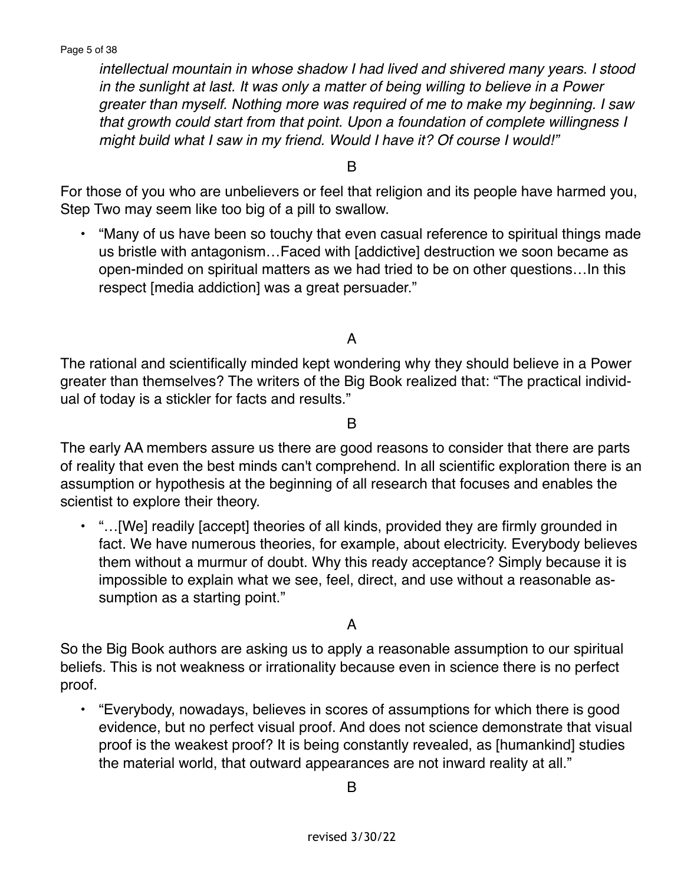*intellectual mountain in whose shadow I had lived and shivered many years. I stood in the sunlight at last. It was only a matter of being willing to believe in a Power greater than myself. Nothing more was required of me to make my beginning. I saw that growth could start from that point. Upon a foundation of complete willingness I might build what I saw in my friend. Would I have it? Of course I would!"* 

B

For those of you who are unbelievers or feel that religion and its people have harmed you, Step Two may seem like too big of a pill to swallow.

• "Many of us have been so touchy that even casual reference to spiritual things made us bristle with antagonism…Faced with [addictive] destruction we soon became as open-minded on spiritual matters as we had tried to be on other questions…In this respect [media addiction] was a great persuader."

A

The rational and scientifically minded kept wondering why they should believe in a Power greater than themselves? The writers of the Big Book realized that: "The practical individual of today is a stickler for facts and results."

B

The early AA members assure us there are good reasons to consider that there are parts of reality that even the best minds can't comprehend. In all scientific exploration there is an assumption or hypothesis at the beginning of all research that focuses and enables the scientist to explore their theory.

• "…[We] readily [accept] theories of all kinds, provided they are firmly grounded in fact. We have numerous theories, for example, about electricity. Everybody believes them without a murmur of doubt. Why this ready acceptance? Simply because it is impossible to explain what we see, feel, direct, and use without a reasonable assumption as a starting point."

A

So the Big Book authors are asking us to apply a reasonable assumption to our spiritual beliefs. This is not weakness or irrationality because even in science there is no perfect proof.

• "Everybody, nowadays, believes in scores of assumptions for which there is good evidence, but no perfect visual proof. And does not science demonstrate that visual proof is the weakest proof? It is being constantly revealed, as [humankind] studies the material world, that outward appearances are not inward reality at all."

B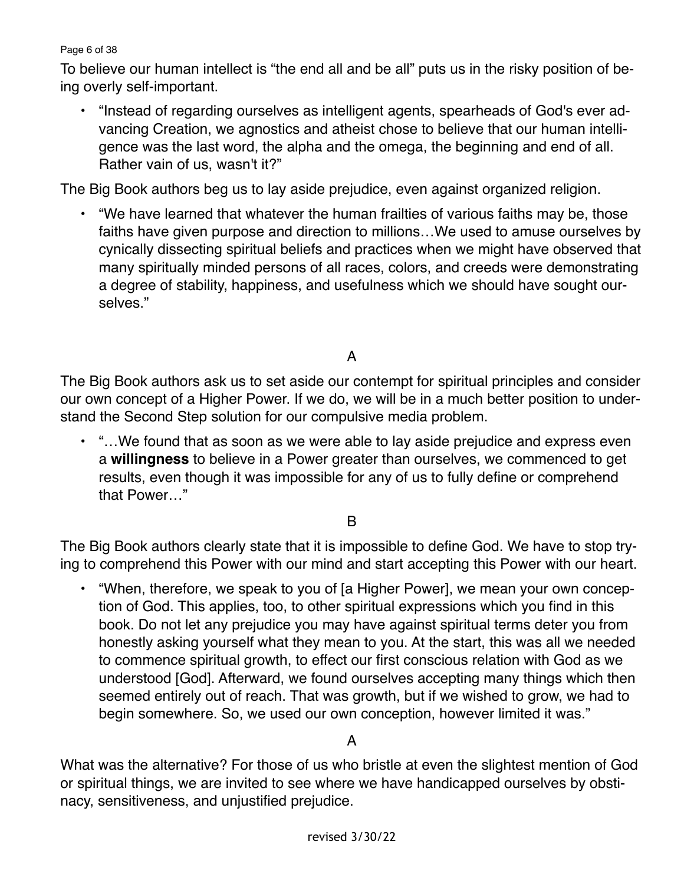#### Page 6 of 38

To believe our human intellect is "the end all and be all" puts us in the risky position of being overly self-important.

• "Instead of regarding ourselves as intelligent agents, spearheads of God's ever advancing Creation, we agnostics and atheist chose to believe that our human intelligence was the last word, the alpha and the omega, the beginning and end of all. Rather vain of us, wasn't it?"

The Big Book authors beg us to lay aside prejudice, even against organized religion.

• "We have learned that whatever the human frailties of various faiths may be, those faiths have given purpose and direction to millions…We used to amuse ourselves by cynically dissecting spiritual beliefs and practices when we might have observed that many spiritually minded persons of all races, colors, and creeds were demonstrating a degree of stability, happiness, and usefulness which we should have sought ourselves."

## A

The Big Book authors ask us to set aside our contempt for spiritual principles and consider our own concept of a Higher Power. If we do, we will be in a much better position to understand the Second Step solution for our compulsive media problem.

• "…We found that as soon as we were able to lay aside prejudice and express even a **willingness** to believe in a Power greater than ourselves, we commenced to get results, even though it was impossible for any of us to fully define or comprehend that Power…"

## B

The Big Book authors clearly state that it is impossible to define God. We have to stop trying to comprehend this Power with our mind and start accepting this Power with our heart.

• "When, therefore, we speak to you of [a Higher Power], we mean your own conception of God. This applies, too, to other spiritual expressions which you find in this book. Do not let any prejudice you may have against spiritual terms deter you from honestly asking yourself what they mean to you. At the start, this was all we needed to commence spiritual growth, to effect our first conscious relation with God as we understood [God]. Afterward, we found ourselves accepting many things which then seemed entirely out of reach. That was growth, but if we wished to grow, we had to begin somewhere. So, we used our own conception, however limited it was."

## A

What was the alternative? For those of us who bristle at even the slightest mention of God or spiritual things, we are invited to see where we have handicapped ourselves by obstinacy, sensitiveness, and unjustified prejudice.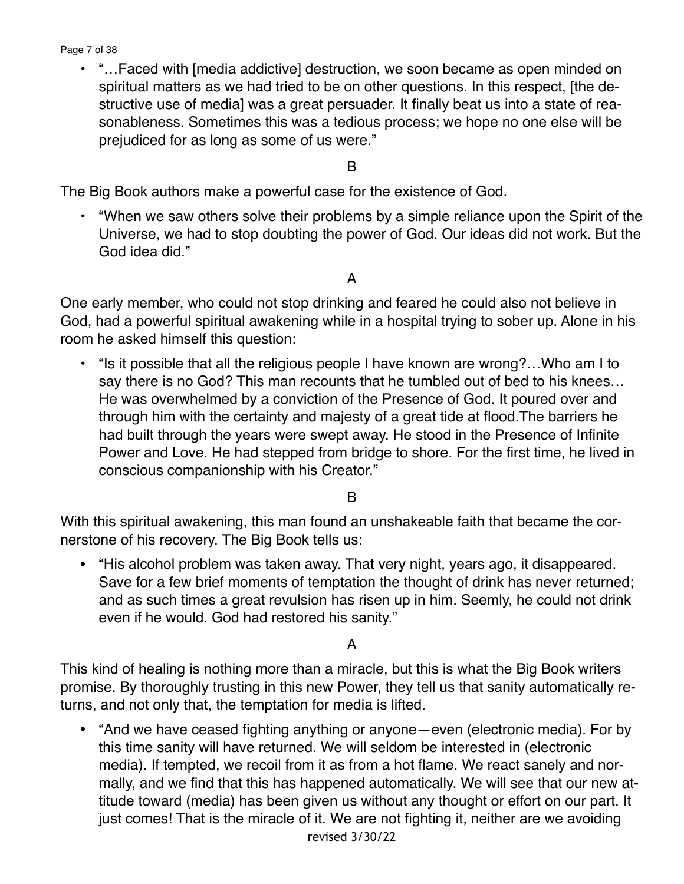Page 7 of 38

• "…Faced with [media addictive] destruction, we soon became as open minded on spiritual matters as we had tried to be on other questions. In this respect, [the destructive use of media] was a great persuader. It finally beat us into a state of reasonableness. Sometimes this was a tedious process; we hope no one else will be prejudiced for as long as some of us were."

B

The Big Book authors make a powerful case for the existence of God.

• "When we saw others solve their problems by a simple reliance upon the Spirit of the Universe, we had to stop doubting the power of God. Our ideas did not work. But the God idea did."

A

One early member, who could not stop drinking and feared he could also not believe in God, had a powerful spiritual awakening while in a hospital trying to sober up. Alone in his room he asked himself this question:

• "Is it possible that all the religious people I have known are wrong?…Who am I to say there is no God? This man recounts that he tumbled out of bed to his knees… He was overwhelmed by a conviction of the Presence of God. It poured over and through him with the certainty and majesty of a great tide at flood.The barriers he had built through the years were swept away. He stood in the Presence of Infinite Power and Love. He had stepped from bridge to shore. For the first time, he lived in conscious companionship with his Creator."

B

With this spiritual awakening, this man found an unshakeable faith that became the cornerstone of his recovery. The Big Book tells us:

• "His alcohol problem was taken away. That very night, years ago, it disappeared. Save for a few brief moments of temptation the thought of drink has never returned; and as such times a great revulsion has risen up in him. Seemly, he could not drink even if he would. God had restored his sanity."

A

This kind of healing is nothing more than a miracle, but this is what the Big Book writers promise. By thoroughly trusting in this new Power, they tell us that sanity automatically returns, and not only that, the temptation for media is lifted.

• "And we have ceased fighting anything or anyone—even (electronic media). For by this time sanity will have returned. We will seldom be interested in (electronic media). If tempted, we recoil from it as from a hot flame. We react sanely and normally, and we find that this has happened automatically. We will see that our new attitude toward (media) has been given us without any thought or effort on our part. It just comes! That is the miracle of it. We are not fighting it, neither are we avoiding revised 3/30/22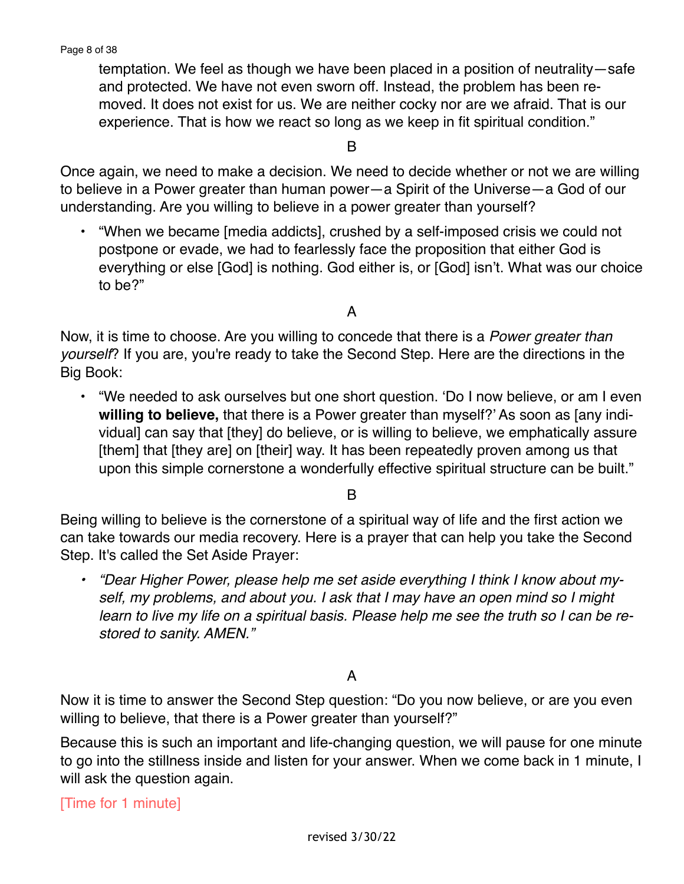temptation. We feel as though we have been placed in a position of neutrality—safe and protected. We have not even sworn off. Instead, the problem has been removed. It does not exist for us. We are neither cocky nor are we afraid. That is our experience. That is how we react so long as we keep in fit spiritual condition."

B

Once again, we need to make a decision. We need to decide whether or not we are willing to believe in a Power greater than human power—a Spirit of the Universe—a God of our understanding. Are you willing to believe in a power greater than yourself?

• "When we became [media addicts], crushed by a self-imposed crisis we could not postpone or evade, we had to fearlessly face the proposition that either God is everything or else [God] is nothing. God either is, or [God] isn't. What was our choice to be?"

A

Now, it is time to choose. Are you willing to concede that there is a *Power greater than yourself*? If you are, you're ready to take the Second Step. Here are the directions in the Big Book:

• "We needed to ask ourselves but one short question. 'Do I now believe, or am I even **willing to believe,** that there is a Power greater than myself?' As soon as [any individual] can say that [they] do believe, or is willing to believe, we emphatically assure [them] that [they are] on [their] way. It has been repeatedly proven among us that upon this simple cornerstone a wonderfully effective spiritual structure can be built."

B

Being willing to believe is the cornerstone of a spiritual way of life and the first action we can take towards our media recovery. Here is a prayer that can help you take the Second Step. It's called the Set Aside Prayer:

*• "Dear Higher Power, please help me set aside everything I think I know about myself, my problems, and about you. I ask that I may have an open mind so I might learn to live my life on a spiritual basis. Please help me see the truth so I can be restored to sanity. AMEN."* 

#### A

Now it is time to answer the Second Step question: "Do you now believe, or are you even willing to believe, that there is a Power greater than yourself?"

Because this is such an important and life-changing question, we will pause for one minute to go into the stillness inside and listen for your answer. When we come back in 1 minute, I will ask the question again.

[Time for 1 minute]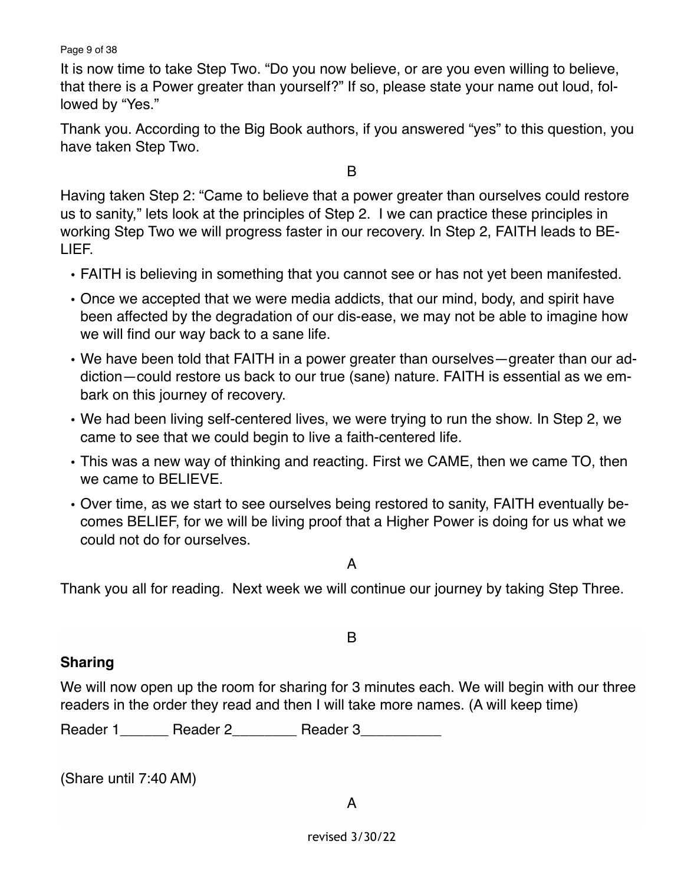Page 9 of 38

It is now time to take Step Two. "Do you now believe, or are you even willing to believe, that there is a Power greater than yourself?" If so, please state your name out loud, followed by "Yes."

Thank you. According to the Big Book authors, if you answered "yes" to this question, you have taken Step Two.

B

Having taken Step 2: "Came to believe that a power greater than ourselves could restore us to sanity," lets look at the principles of Step 2. I we can practice these principles in working Step Two we will progress faster in our recovery. In Step 2, FAITH leads to BE-LIEF.

- FAITH is believing in something that you cannot see or has not yet been manifested.
- Once we accepted that we were media addicts, that our mind, body, and spirit have been affected by the degradation of our dis-ease, we may not be able to imagine how we will find our way back to a sane life.
- We have been told that FAITH in a power greater than ourselves—greater than our addiction—could restore us back to our true (sane) nature. FAITH is essential as we embark on this journey of recovery.
- We had been living self-centered lives, we were trying to run the show. In Step 2, we came to see that we could begin to live a faith-centered life.
- This was a new way of thinking and reacting. First we CAME, then we came TO, then we came to BELIEVE.
- Over time, as we start to see ourselves being restored to sanity, FAITH eventually becomes BELIEF, for we will be living proof that a Higher Power is doing for us what we could not do for ourselves.

A

Thank you all for reading. Next week we will continue our journey by taking Step Three.

## **Sharing**

We will now open up the room for sharing for 3 minutes each. We will begin with our three readers in the order they read and then I will take more names. (A will keep time)

B

Reader 1 \_\_\_\_\_\_ Reader 2 \_\_\_\_\_\_\_\_ Reader 3

(Share until 7:40 AM)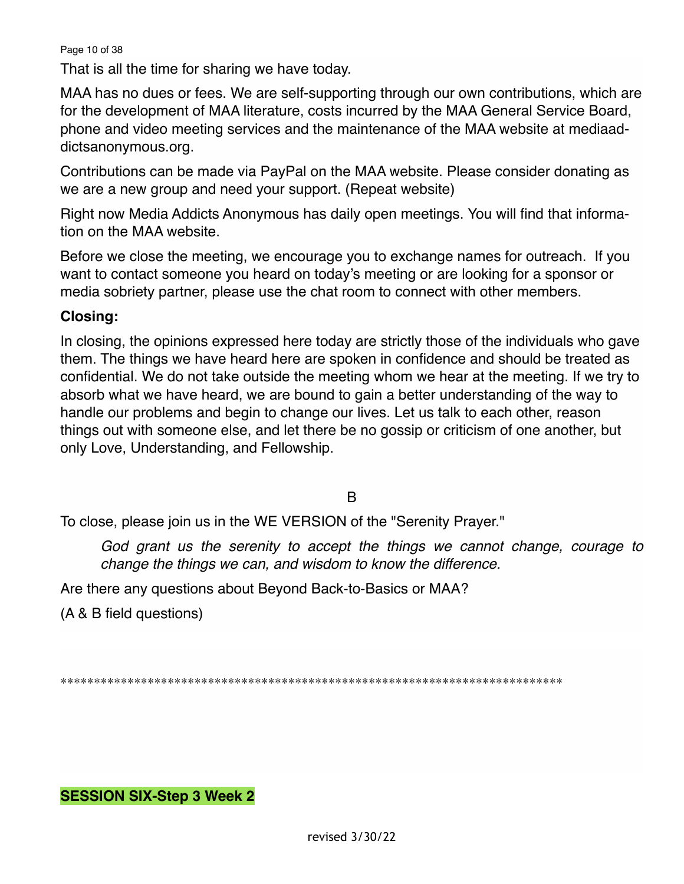Page 10 of 38

That is all the time for sharing we have today.

MAA has no dues or fees. We are self-supporting through our own contributions, which are for the development of MAA literature, costs incurred by the MAA General Service Board, phone and video meeting services and the maintenance of the MAA website at mediaaddictsanonymous.org.

Contributions can be made via PayPal on the MAA website. Please consider donating as we are a new group and need your support. (Repeat website)

Right now Media Addicts Anonymous has daily open meetings. You will find that information on the MAA website.

Before we close the meeting, we encourage you to exchange names for outreach. If you want to contact someone you heard on today's meeting or are looking for a sponsor or media sobriety partner, please use the chat room to connect with other members.

## **Closing:**

In closing, the opinions expressed here today are strictly those of the individuals who gave them. The things we have heard here are spoken in confidence and should be treated as confidential. We do not take outside the meeting whom we hear at the meeting. If we try to absorb what we have heard, we are bound to gain a better understanding of the way to handle our problems and begin to change our lives. Let us talk to each other, reason things out with someone else, and let there be no gossip or criticism of one another, but only Love, Understanding, and Fellowship.

B

To close, please join us in the WE VERSION of the "Serenity Prayer."

*God grant us the serenity to accept the things we cannot change, courage to change the things we can, and wisdom to know the difference.*

Are there any questions about Beyond Back-to-Basics or MAA?

(A & B field questions)

\*\*\*\*\*\*\*\*\*\*\*\*\*\*\*\*\*\*\*\*\*\*\*\*\*\*\*\*\*\*\*\*\*\*\*\*\*\*\*\*\*\*\*\*\*\*\*\*\*\*\*\*\*\*\*\*\*\*\*\*\*\*\*\*\*\*\*\*\*\*\*\*\*\*\*

## **SESSION SIX-Step 3 Week 2**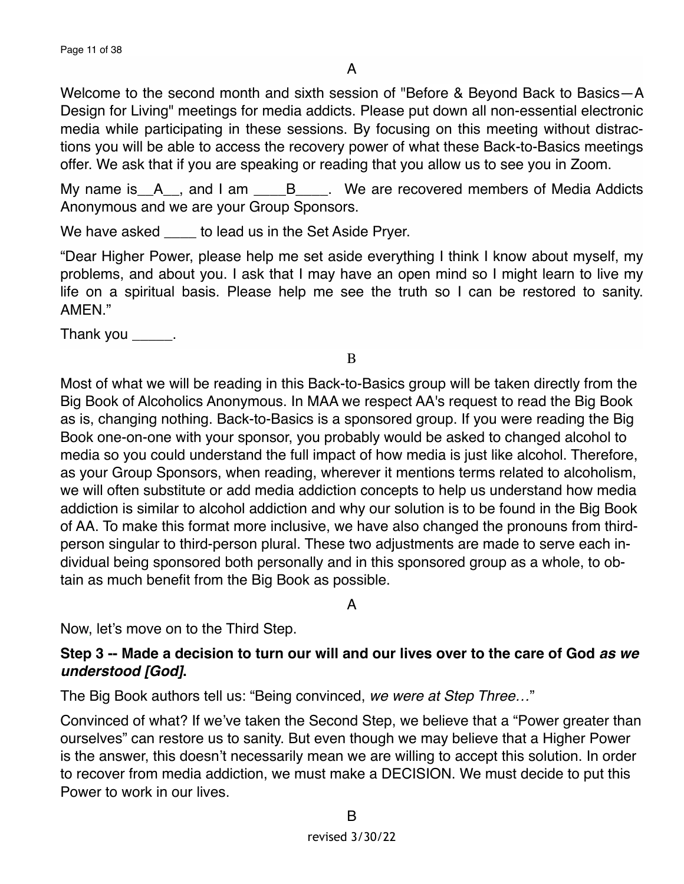Welcome to the second month and sixth session of "Before & Beyond Back to Basics—A Design for Living" meetings for media addicts. Please put down all non-essential electronic media while participating in these sessions. By focusing on this meeting without distractions you will be able to access the recovery power of what these Back-to-Basics meetings offer. We ask that if you are speaking or reading that you allow us to see you in Zoom.

My name is  $A_{n}$ , and I am  $B_{n}$ . We are recovered members of Media Addicts Anonymous and we are your Group Sponsors.

We have asked \_\_\_\_\_ to lead us in the Set Aside Pryer.

"Dear Higher Power, please help me set aside everything I think I know about myself, my problems, and about you. I ask that I may have an open mind so I might learn to live my life on a spiritual basis. Please help me see the truth so I can be restored to sanity. AMFN"

Thank you \_\_\_\_\_\_.

B

Most of what we will be reading in this Back-to-Basics group will be taken directly from the Big Book of Alcoholics Anonymous. In MAA we respect AA's request to read the Big Book as is, changing nothing. Back-to-Basics is a sponsored group. If you were reading the Big Book one-on-one with your sponsor, you probably would be asked to changed alcohol to media so you could understand the full impact of how media is just like alcohol. Therefore, as your Group Sponsors, when reading, wherever it mentions terms related to alcoholism, we will often substitute or add media addiction concepts to help us understand how media addiction is similar to alcohol addiction and why our solution is to be found in the Big Book of AA. To make this format more inclusive, we have also changed the pronouns from thirdperson singular to third-person plural. These two adjustments are made to serve each individual being sponsored both personally and in this sponsored group as a whole, to obtain as much benefit from the Big Book as possible.

A

Now, let's move on to the Third Step.

## **Step 3 -- Made a decision to turn our will and our lives over to the care of God** *as we understood [God]***.**

The Big Book authors tell us: "Being convinced, *we were at Step Three…*"

Convinced of what? If we've taken the Second Step, we believe that a "Power greater than ourselves" can restore us to sanity. But even though we may believe that a Higher Power is the answer, this doesn't necessarily mean we are willing to accept this solution. In order to recover from media addiction, we must make a DECISION. We must decide to put this Power to work in our lives.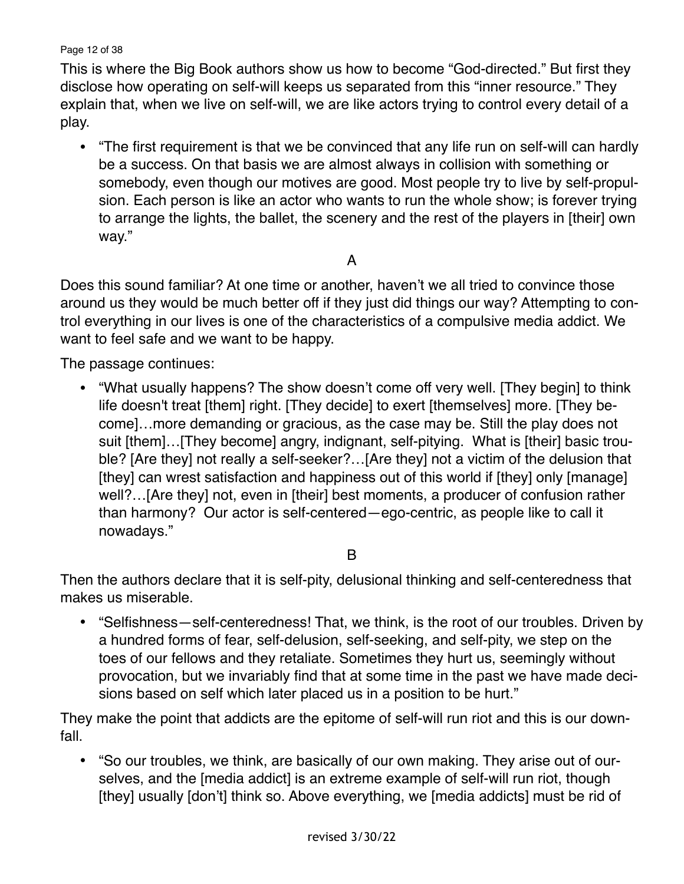Page 12 of 38

This is where the Big Book authors show us how to become "God-directed." But first they disclose how operating on self-will keeps us separated from this "inner resource." They explain that, when we live on self-will, we are like actors trying to control every detail of a play.

• "The first requirement is that we be convinced that any life run on self-will can hardly be a success. On that basis we are almost always in collision with something or somebody, even though our motives are good. Most people try to live by self-propulsion. Each person is like an actor who wants to run the whole show; is forever trying to arrange the lights, the ballet, the scenery and the rest of the players in [their] own way."

## A

Does this sound familiar? At one time or another, haven't we all tried to convince those around us they would be much better off if they just did things our way? Attempting to control everything in our lives is one of the characteristics of a compulsive media addict. We want to feel safe and we want to be happy.

The passage continues:

• "What usually happens? The show doesn't come off very well. [They begin] to think life doesn't treat [them] right. [They decide] to exert [themselves] more. [They become]…more demanding or gracious, as the case may be. Still the play does not suit [them]…[They become] angry, indignant, self-pitying. What is [their] basic trouble? [Are they] not really a self-seeker?…[Are they] not a victim of the delusion that [they] can wrest satisfaction and happiness out of this world if [they] only [manage] well?…[Are they] not, even in [their] best moments, a producer of confusion rather than harmony? Our actor is self-centered—ego-centric, as people like to call it nowadays."

## B

Then the authors declare that it is self-pity, delusional thinking and self-centeredness that makes us miserable.

• "Selfishness—self-centeredness! That, we think, is the root of our troubles. Driven by a hundred forms of fear, self-delusion, self-seeking, and self-pity, we step on the toes of our fellows and they retaliate. Sometimes they hurt us, seemingly without provocation, but we invariably find that at some time in the past we have made decisions based on self which later placed us in a position to be hurt."

They make the point that addicts are the epitome of self-will run riot and this is our downfall.

• "So our troubles, we think, are basically of our own making. They arise out of ourselves, and the [media addict] is an extreme example of self-will run riot, though [they] usually [don't] think so. Above everything, we [media addicts] must be rid of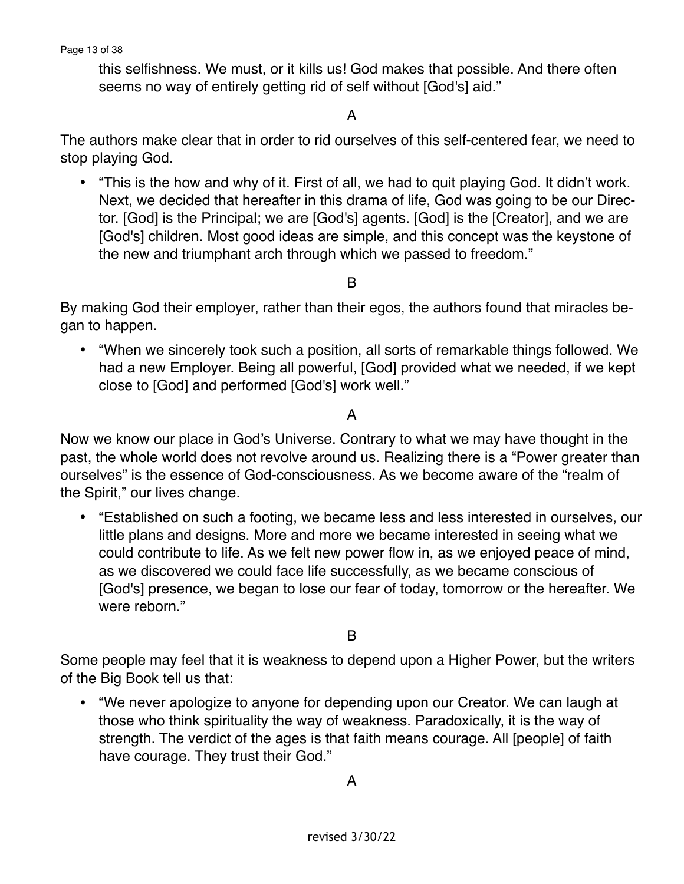this selfishness. We must, or it kills us! God makes that possible. And there often seems no way of entirely getting rid of self without [God's] aid."

#### A

The authors make clear that in order to rid ourselves of this self-centered fear, we need to stop playing God.

• "This is the how and why of it. First of all, we had to quit playing God. It didn't work. Next, we decided that hereafter in this drama of life, God was going to be our Director. [God] is the Principal; we are [God's] agents. [God] is the [Creator], and we are [God's] children. Most good ideas are simple, and this concept was the keystone of the new and triumphant arch through which we passed to freedom."

B

By making God their employer, rather than their egos, the authors found that miracles began to happen.

• "When we sincerely took such a position, all sorts of remarkable things followed. We had a new Employer. Being all powerful, [God] provided what we needed, if we kept close to [God] and performed [God's] work well."

#### A

Now we know our place in God's Universe. Contrary to what we may have thought in the past, the whole world does not revolve around us. Realizing there is a "Power greater than ourselves" is the essence of God-consciousness. As we become aware of the "realm of the Spirit," our lives change.

• "Established on such a footing, we became less and less interested in ourselves, our little plans and designs. More and more we became interested in seeing what we could contribute to life. As we felt new power flow in, as we enjoyed peace of mind, as we discovered we could face life successfully, as we became conscious of [God's] presence, we began to lose our fear of today, tomorrow or the hereafter. We were reborn."

B

Some people may feel that it is weakness to depend upon a Higher Power, but the writers of the Big Book tell us that:

• "We never apologize to anyone for depending upon our Creator. We can laugh at those who think spirituality the way of weakness. Paradoxically, it is the way of strength. The verdict of the ages is that faith means courage. All [people] of faith have courage. They trust their God."

A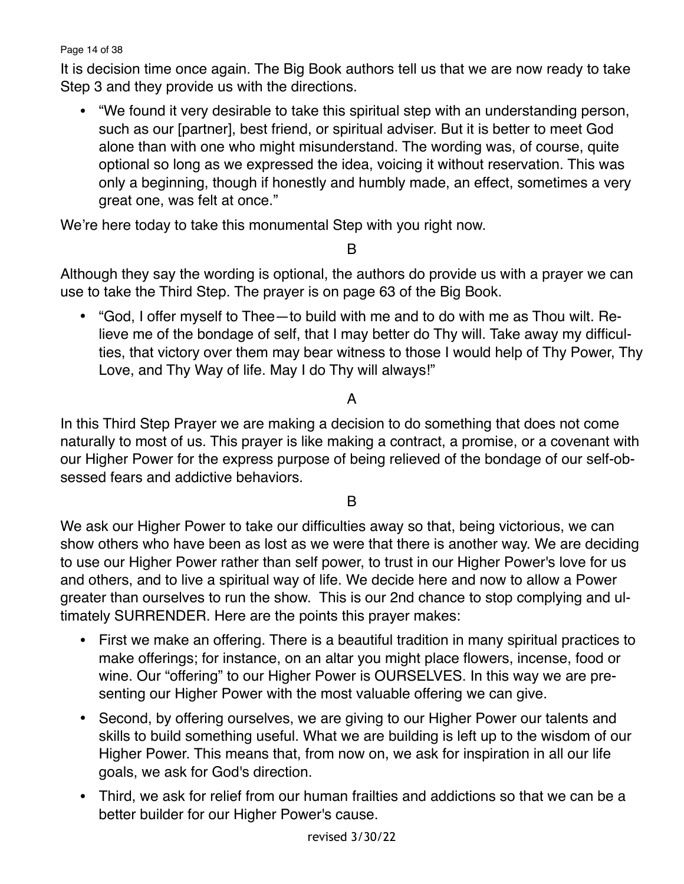Page 14 of 38

It is decision time once again. The Big Book authors tell us that we are now ready to take Step 3 and they provide us with the directions.

• "We found it very desirable to take this spiritual step with an understanding person, such as our [partner], best friend, or spiritual adviser. But it is better to meet God alone than with one who might misunderstand. The wording was, of course, quite optional so long as we expressed the idea, voicing it without reservation. This was only a beginning, though if honestly and humbly made, an effect, sometimes a very great one, was felt at once."

We're here today to take this monumental Step with you right now.

B

Although they say the wording is optional, the authors do provide us with a prayer we can use to take the Third Step. The prayer is on page 63 of the Big Book.

• "God, I offer myself to Thee—to build with me and to do with me as Thou wilt. Relieve me of the bondage of self, that I may better do Thy will. Take away my difficulties, that victory over them may bear witness to those I would help of Thy Power, Thy Love, and Thy Way of life. May I do Thy will always!"

# A

In this Third Step Prayer we are making a decision to do something that does not come naturally to most of us. This prayer is like making a contract, a promise, or a covenant with our Higher Power for the express purpose of being relieved of the bondage of our self-obsessed fears and addictive behaviors.

#### B

We ask our Higher Power to take our difficulties away so that, being victorious, we can show others who have been as lost as we were that there is another way. We are deciding to use our Higher Power rather than self power, to trust in our Higher Power's love for us and others, and to live a spiritual way of life. We decide here and now to allow a Power greater than ourselves to run the show. This is our 2nd chance to stop complying and ultimately SURRENDER. Here are the points this prayer makes:

- First we make an offering. There is a beautiful tradition in many spiritual practices to make offerings; for instance, on an altar you might place flowers, incense, food or wine. Our "offering" to our Higher Power is OURSELVES. In this way we are presenting our Higher Power with the most valuable offering we can give.
- Second, by offering ourselves, we are giving to our Higher Power our talents and skills to build something useful. What we are building is left up to the wisdom of our Higher Power. This means that, from now on, we ask for inspiration in all our life goals, we ask for God's direction.
- Third, we ask for relief from our human frailties and addictions so that we can be a better builder for our Higher Power's cause.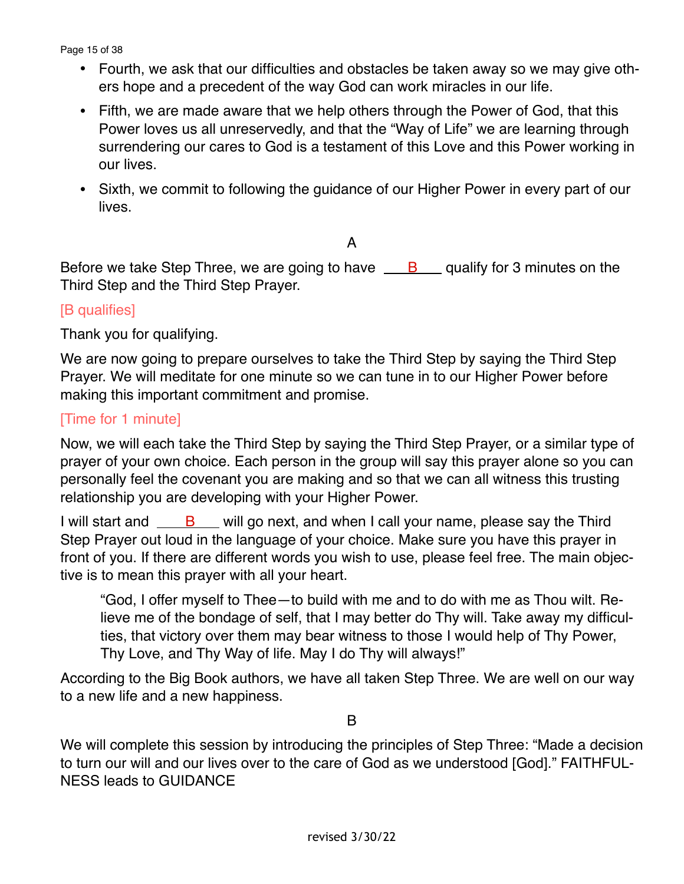Page 15 of 38

- Fourth, we ask that our difficulties and obstacles be taken away so we may give others hope and a precedent of the way God can work miracles in our life.
- Fifth, we are made aware that we help others through the Power of God, that this Power loves us all unreservedly, and that the "Way of Life" we are learning through surrendering our cares to God is a testament of this Love and this Power working in our lives.
- Sixth, we commit to following the guidance of our Higher Power in every part of our lives.

A

Before we take Step Three, we are going to have  $\underline{\phantom{a}}$  B  $\underline{\phantom{a}}$  qualify for 3 minutes on the Third Step and the Third Step Prayer.

#### [B qualifies]

Thank you for qualifying.

We are now going to prepare ourselves to take the Third Step by saying the Third Step Prayer. We will meditate for one minute so we can tune in to our Higher Power before making this important commitment and promise.

#### [Time for 1 minute]

Now, we will each take the Third Step by saying the Third Step Prayer, or a similar type of prayer of your own choice. Each person in the group will say this prayer alone so you can personally feel the covenant you are making and so that we can all witness this trusting relationship you are developing with your Higher Power.

I will start and  $\overline{B}$  will go next, and when I call your name, please say the Third Step Prayer out loud in the language of your choice. Make sure you have this prayer in front of you. If there are different words you wish to use, please feel free. The main objective is to mean this prayer with all your heart.

"God, I offer myself to Thee—to build with me and to do with me as Thou wilt. Relieve me of the bondage of self, that I may better do Thy will. Take away my difficulties, that victory over them may bear witness to those I would help of Thy Power, Thy Love, and Thy Way of life. May I do Thy will always!"

According to the Big Book authors, we have all taken Step Three. We are well on our way to a new life and a new happiness.

B

We will complete this session by introducing the principles of Step Three: "Made a decision to turn our will and our lives over to the care of God as we understood [God]." FAITHFUL-NESS leads to GUIDANCE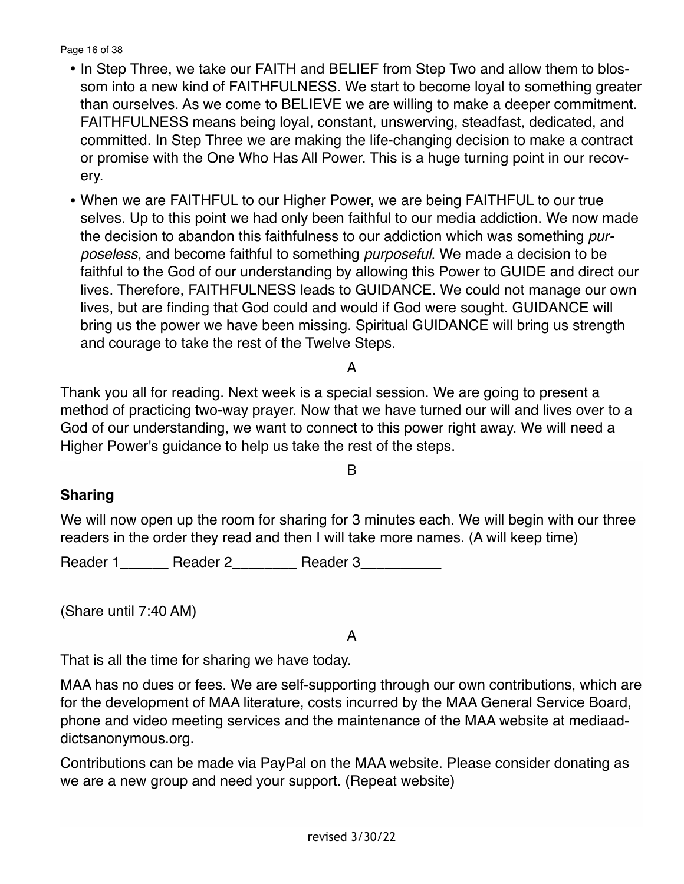Page 16 of 38

- In Step Three, we take our FAITH and BELIEF from Step Two and allow them to blossom into a new kind of FAITHFULNESS. We start to become loyal to something greater than ourselves. As we come to BELIEVE we are willing to make a deeper commitment. FAITHFULNESS means being loyal, constant, unswerving, steadfast, dedicated, and committed. In Step Three we are making the life-changing decision to make a contract or promise with the One Who Has All Power. This is a huge turning point in our recovery.
- When we are FAITHFUL to our Higher Power, we are being FAITHFUL to our true selves. Up to this point we had only been faithful to our media addiction. We now made the decision to abandon this faithfulness to our addiction which was something *purposeless*, and become faithful to something *purposeful*. We made a decision to be faithful to the God of our understanding by allowing this Power to GUIDE and direct our lives. Therefore, FAITHFULNESS leads to GUIDANCE. We could not manage our own lives, but are finding that God could and would if God were sought. GUIDANCE will bring us the power we have been missing. Spiritual GUIDANCE will bring us strength and courage to take the rest of the Twelve Steps.

A

Thank you all for reading. Next week is a special session. We are going to present a method of practicing two-way prayer. Now that we have turned our will and lives over to a God of our understanding, we want to connect to this power right away. We will need a Higher Power's guidance to help us take the rest of the steps.

#### B

#### **Sharing**

We will now open up the room for sharing for 3 minutes each. We will begin with our three readers in the order they read and then I will take more names. (A will keep time)

Reader 1 \_\_\_\_\_\_ Reader 2 \_\_\_\_\_\_\_\_ Reader 3

(Share until 7:40 AM)

## A

That is all the time for sharing we have today.

MAA has no dues or fees. We are self-supporting through our own contributions, which are for the development of MAA literature, costs incurred by the MAA General Service Board, phone and video meeting services and the maintenance of the MAA website at mediaaddictsanonymous.org.

Contributions can be made via PayPal on the MAA website. Please consider donating as we are a new group and need your support. (Repeat website)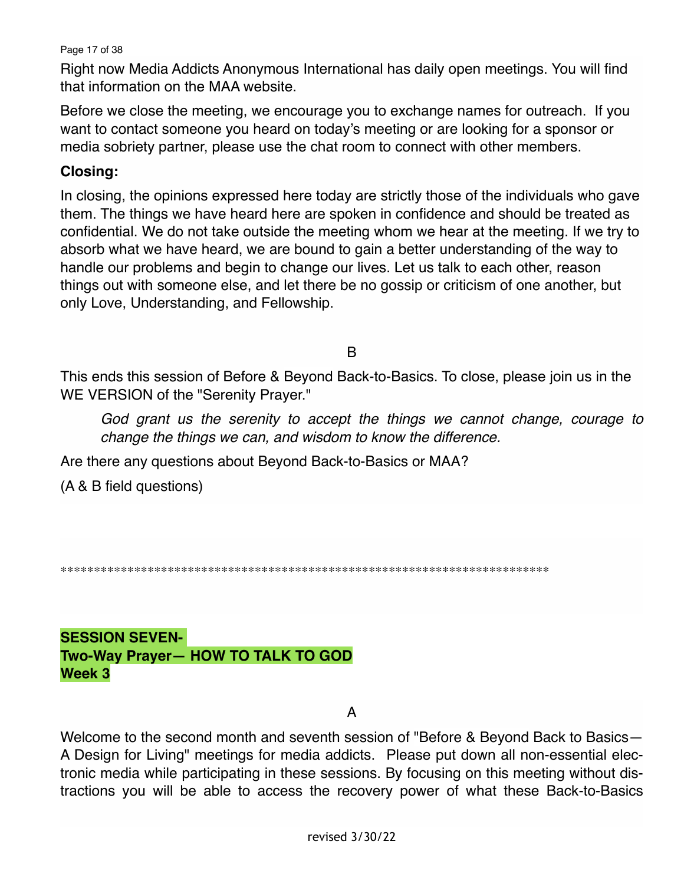Page 17 of 38

Right now Media Addicts Anonymous International has daily open meetings. You will find that information on the MAA website.

Before we close the meeting, we encourage you to exchange names for outreach. If you want to contact someone you heard on today's meeting or are looking for a sponsor or media sobriety partner, please use the chat room to connect with other members.

#### **Closing:**

In closing, the opinions expressed here today are strictly those of the individuals who gave them. The things we have heard here are spoken in confidence and should be treated as confidential. We do not take outside the meeting whom we hear at the meeting. If we try to absorb what we have heard, we are bound to gain a better understanding of the way to handle our problems and begin to change our lives. Let us talk to each other, reason things out with someone else, and let there be no gossip or criticism of one another, but only Love, Understanding, and Fellowship.

B

This ends this session of Before & Beyond Back-to-Basics. To close, please join us in the WE VERSION of the "Serenity Prayer."

*God grant us the serenity to accept the things we cannot change, courage to change the things we can, and wisdom to know the difference.*

Are there any questions about Beyond Back-to-Basics or MAA?

(A & B field questions)

\*\*\*\*\*\*\*\*\*\*\*\*\*\*\*\*\*\*\*\*\*\*\*\*\*\*\*\*\*\*\*\*\*\*\*\*\*\*\*\*\*\*\*\*\*\*\*\*\*\*\*\*\*\*\*\*\*\*\*\*\*\*\*\*\*\*\*\*\*\*\*\*\*

**SESSION SEVEN-Two-Way Prayer— HOW TO TALK TO GOD Week 3**

A

Welcome to the second month and seventh session of "Before & Beyond Back to Basics— A Design for Living" meetings for media addicts. Please put down all non-essential electronic media while participating in these sessions. By focusing on this meeting without distractions you will be able to access the recovery power of what these Back-to-Basics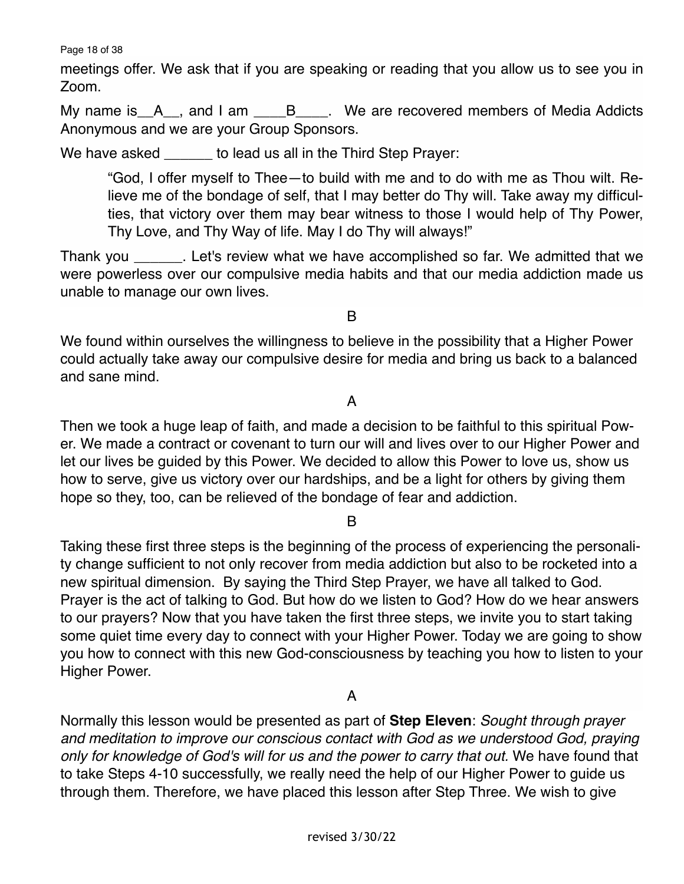Page 18 of 38

meetings offer. We ask that if you are speaking or reading that you allow us to see you in Zoom.

My name is A<sub>\_\_</sub>, and I am \_\_\_\_B<sub>\_\_\_\_</sub>. We are recovered members of Media Addicts Anonymous and we are your Group Sponsors.

We have asked boost to lead us all in the Third Step Prayer:

"God, I offer myself to Thee—to build with me and to do with me as Thou wilt. Relieve me of the bondage of self, that I may better do Thy will. Take away my difficulties, that victory over them may bear witness to those I would help of Thy Power, Thy Love, and Thy Way of life. May I do Thy will always!"

Thank you \_\_\_\_\_\_. Let's review what we have accomplished so far. We admitted that we were powerless over our compulsive media habits and that our media addiction made us unable to manage our own lives.

B

We found within ourselves the willingness to believe in the possibility that a Higher Power could actually take away our compulsive desire for media and bring us back to a balanced and sane mind.

#### A

Then we took a huge leap of faith, and made a decision to be faithful to this spiritual Power. We made a contract or covenant to turn our will and lives over to our Higher Power and let our lives be guided by this Power. We decided to allow this Power to love us, show us how to serve, give us victory over our hardships, and be a light for others by giving them hope so they, too, can be relieved of the bondage of fear and addiction.

B

Taking these first three steps is the beginning of the process of experiencing the personality change sufficient to not only recover from media addiction but also to be rocketed into a new spiritual dimension. By saying the Third Step Prayer, we have all talked to God. Prayer is the act of talking to God. But how do we listen to God? How do we hear answers to our prayers? Now that you have taken the first three steps, we invite you to start taking some quiet time every day to connect with your Higher Power. Today we are going to show you how to connect with this new God-consciousness by teaching you how to listen to your Higher Power.

#### A

Normally this lesson would be presented as part of **Step Eleven**: *Sought through prayer and meditation to improve our conscious contact with God as we understood God, praying only for knowledge of God's will for us and the power to carry that out.* We have found that to take Steps 4-10 successfully, we really need the help of our Higher Power to guide us through them. Therefore, we have placed this lesson after Step Three. We wish to give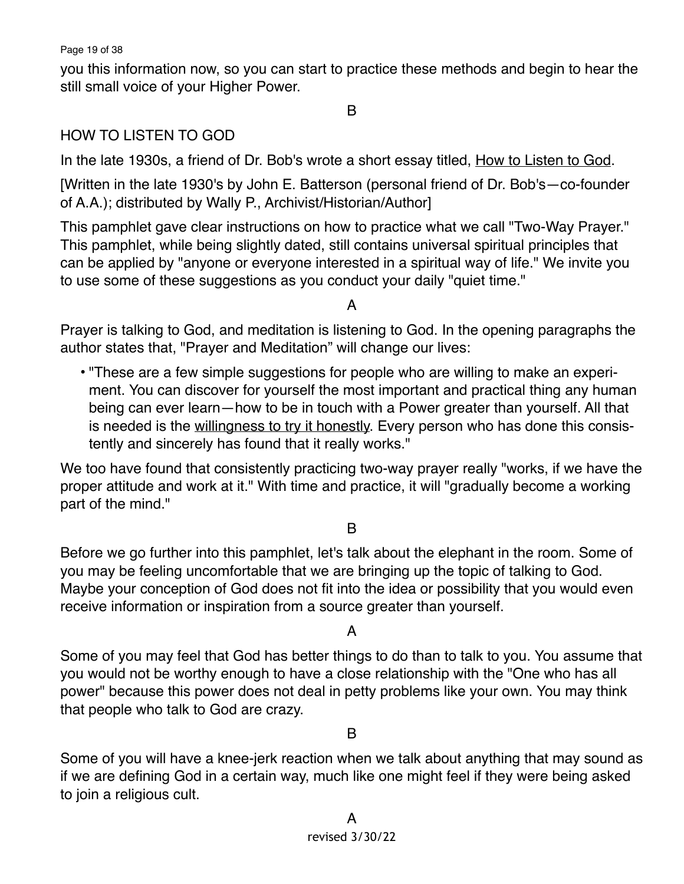Page 19 of 38

you this information now, so you can start to practice these methods and begin to hear the still small voice of your Higher Power.

## B

## HOW TO LISTEN TO GOD

In the late 1930s, a friend of Dr. Bob's wrote a short essay titled, How to Listen to God.

[Written in the late 1930's by John E. Batterson (personal friend of Dr. Bob's—co-founder of A.A.); distributed by Wally P., Archivist/Historian/Author]

This pamphlet gave clear instructions on how to practice what we call "Two-Way Prayer." This pamphlet, while being slightly dated, still contains universal spiritual principles that can be applied by "anyone or everyone interested in a spiritual way of life." We invite you to use some of these suggestions as you conduct your daily "quiet time."

## A

Prayer is talking to God, and meditation is listening to God. In the opening paragraphs the author states that, "Prayer and Meditation" will change our lives:

• "These are a few simple suggestions for people who are willing to make an experiment. You can discover for yourself the most important and practical thing any human being can ever learn—how to be in touch with a Power greater than yourself. All that is needed is the willingness to try it honestly. Every person who has done this consistently and sincerely has found that it really works."

We too have found that consistently practicing two-way prayer really "works, if we have the proper attitude and work at it." With time and practice, it will "gradually become a working part of the mind."

#### B

Before we go further into this pamphlet, let's talk about the elephant in the room. Some of you may be feeling uncomfortable that we are bringing up the topic of talking to God. Maybe your conception of God does not fit into the idea or possibility that you would even receive information or inspiration from a source greater than yourself.

#### A

Some of you may feel that God has better things to do than to talk to you. You assume that you would not be worthy enough to have a close relationship with the "One who has all power" because this power does not deal in petty problems like your own. You may think that people who talk to God are crazy.

#### B

Some of you will have a knee-jerk reaction when we talk about anything that may sound as if we are defining God in a certain way, much like one might feel if they were being asked to join a religious cult.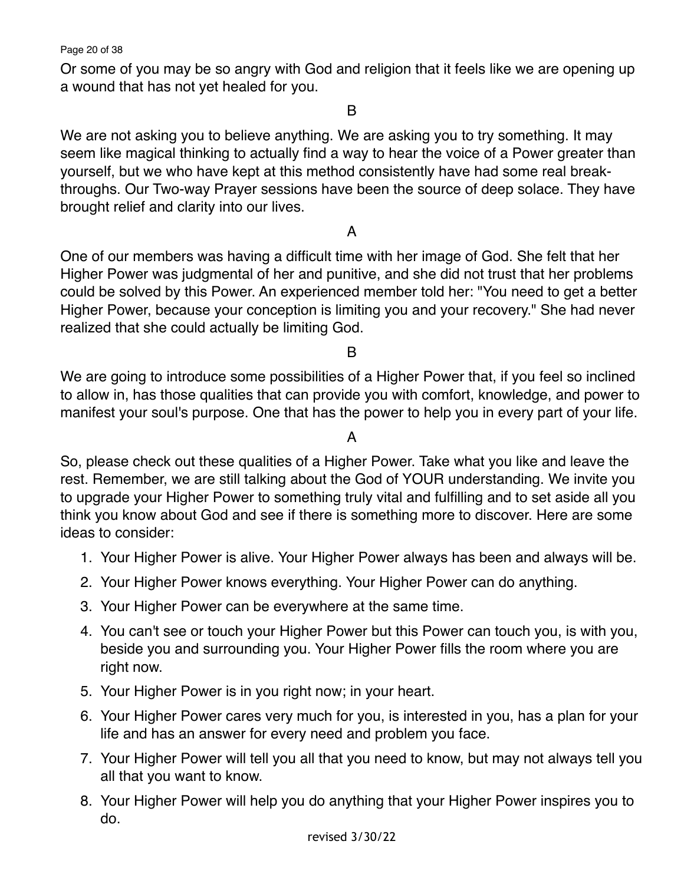Page 20 of 38

Or some of you may be so angry with God and religion that it feels like we are opening up a wound that has not yet healed for you.

#### B

We are not asking you to believe anything. We are asking you to try something. It may seem like magical thinking to actually find a way to hear the voice of a Power greater than yourself, but we who have kept at this method consistently have had some real breakthroughs. Our Two-way Prayer sessions have been the source of deep solace. They have brought relief and clarity into our lives.

## A

One of our members was having a difficult time with her image of God. She felt that her Higher Power was judgmental of her and punitive, and she did not trust that her problems could be solved by this Power. An experienced member told her: "You need to get a better Higher Power, because your conception is limiting you and your recovery." She had never realized that she could actually be limiting God.

#### B

We are going to introduce some possibilities of a Higher Power that, if you feel so inclined to allow in, has those qualities that can provide you with comfort, knowledge, and power to manifest your soul's purpose. One that has the power to help you in every part of your life.

#### A

So, please check out these qualities of a Higher Power. Take what you like and leave the rest. Remember, we are still talking about the God of YOUR understanding. We invite you to upgrade your Higher Power to something truly vital and fulfilling and to set aside all you think you know about God and see if there is something more to discover. Here are some ideas to consider:

- 1. Your Higher Power is alive. Your Higher Power always has been and always will be.
- 2. Your Higher Power knows everything. Your Higher Power can do anything.
- 3. Your Higher Power can be everywhere at the same time.
- 4. You can't see or touch your Higher Power but this Power can touch you, is with you, beside you and surrounding you. Your Higher Power fills the room where you are right now.
- 5. Your Higher Power is in you right now; in your heart.
- 6. Your Higher Power cares very much for you, is interested in you, has a plan for your life and has an answer for every need and problem you face.
- 7. Your Higher Power will tell you all that you need to know, but may not always tell you all that you want to know.
- 8. Your Higher Power will help you do anything that your Higher Power inspires you to do.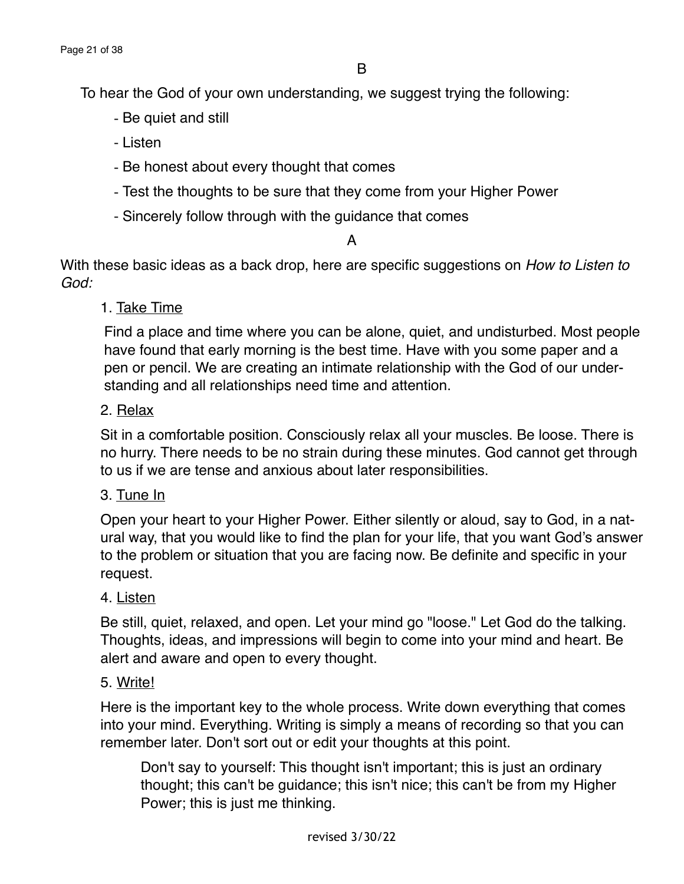To hear the God of your own understanding, we suggest trying the following:

- Be quiet and still
- Listen
- Be honest about every thought that comes
- Test the thoughts to be sure that they come from your Higher Power
- Sincerely follow through with the guidance that comes

#### A

With these basic ideas as a back drop, here are specific suggestions on *How to Listen to God:*

1. Take Time

Find a place and time where you can be alone, quiet, and undisturbed. Most people have found that early morning is the best time. Have with you some paper and a pen or pencil. We are creating an intimate relationship with the God of our understanding and all relationships need time and attention.

#### 2. Relax

Sit in a comfortable position. Consciously relax all your muscles. Be loose. There is no hurry. There needs to be no strain during these minutes. God cannot get through to us if we are tense and anxious about later responsibilities.

#### 3. Tune In

Open your heart to your Higher Power. Either silently or aloud, say to God, in a natural way, that you would like to find the plan for your life, that you want God's answer to the problem or situation that you are facing now. Be definite and specific in your request.

#### 4. Listen

Be still, quiet, relaxed, and open. Let your mind go "loose." Let God do the talking. Thoughts, ideas, and impressions will begin to come into your mind and heart. Be alert and aware and open to every thought.

#### 5. Write!

Here is the important key to the whole process. Write down everything that comes into your mind. Everything. Writing is simply a means of recording so that you can remember later. Don't sort out or edit your thoughts at this point.

Don't say to yourself: This thought isn't important; this is just an ordinary thought; this can't be guidance; this isn't nice; this can't be from my Higher Power; this is just me thinking.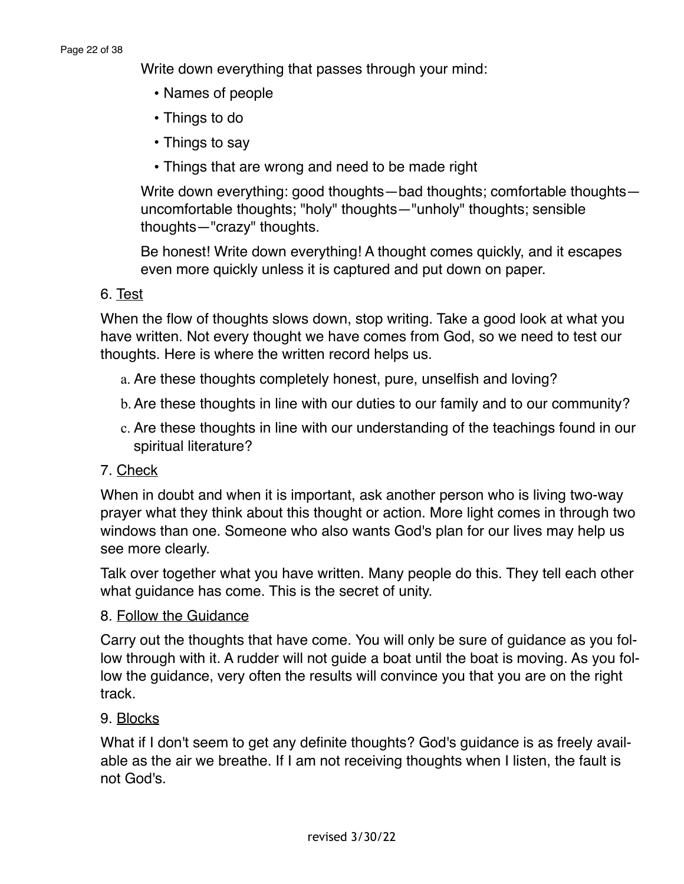Write down everything that passes through your mind:

- Names of people
- Things to do
- Things to say
- Things that are wrong and need to be made right

Write down everything: good thoughts—bad thoughts; comfortable thoughts uncomfortable thoughts; "holy" thoughts—"unholy" thoughts; sensible thoughts—"crazy" thoughts.

Be honest! Write down everything! A thought comes quickly, and it escapes even more quickly unless it is captured and put down on paper.

## 6. Test

When the flow of thoughts slows down, stop writing. Take a good look at what you have written. Not every thought we have comes from God, so we need to test our thoughts. Here is where the written record helps us.

- a. Are these thoughts completely honest, pure, unselfish and loving?
- b.Are these thoughts in line with our duties to our family and to our community?
- c. Are these thoughts in line with our understanding of the teachings found in our spiritual literature?

## 7. Check

When in doubt and when it is important, ask another person who is living two-way prayer what they think about this thought or action. More light comes in through two windows than one. Someone who also wants God's plan for our lives may help us see more clearly.

Talk over together what you have written. Many people do this. They tell each other what guidance has come. This is the secret of unity.

## 8. Follow the Guidance

Carry out the thoughts that have come. You will only be sure of guidance as you follow through with it. A rudder will not guide a boat until the boat is moving. As you follow the guidance, very often the results will convince you that you are on the right track.

## 9. Blocks

What if I don't seem to get any definite thoughts? God's guidance is as freely available as the air we breathe. If I am not receiving thoughts when I listen, the fault is not God's.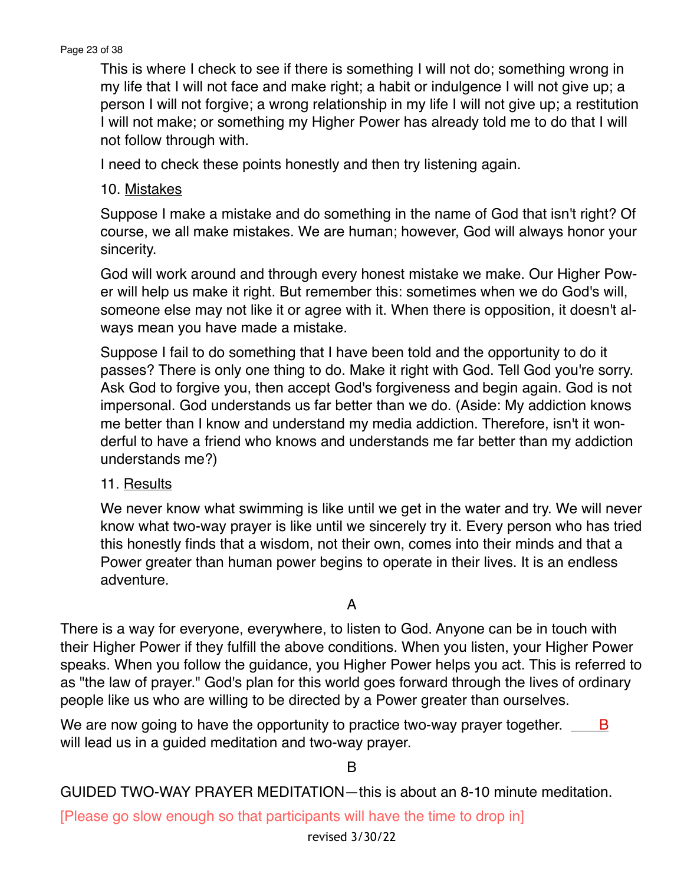This is where I check to see if there is something I will not do; something wrong in my life that I will not face and make right; a habit or indulgence I will not give up; a person I will not forgive; a wrong relationship in my life I will not give up; a restitution I will not make; or something my Higher Power has already told me to do that I will not follow through with.

I need to check these points honestly and then try listening again.

10. Mistakes

Suppose I make a mistake and do something in the name of God that isn't right? Of course, we all make mistakes. We are human; however, God will always honor your sincerity.

God will work around and through every honest mistake we make. Our Higher Power will help us make it right. But remember this: sometimes when we do God's will, someone else may not like it or agree with it. When there is opposition, it doesn't always mean you have made a mistake.

Suppose I fail to do something that I have been told and the opportunity to do it passes? There is only one thing to do. Make it right with God. Tell God you're sorry. Ask God to forgive you, then accept God's forgiveness and begin again. God is not impersonal. God understands us far better than we do. (Aside: My addiction knows me better than I know and understand my media addiction. Therefore, isn't it wonderful to have a friend who knows and understands me far better than my addiction understands me?)

#### 11. Results

We never know what swimming is like until we get in the water and try. We will never know what two-way prayer is like until we sincerely try it. Every person who has tried this honestly finds that a wisdom, not their own, comes into their minds and that a Power greater than human power begins to operate in their lives. It is an endless adventure.

#### A

There is a way for everyone, everywhere, to listen to God. Anyone can be in touch with their Higher Power if they fulfill the above conditions. When you listen, your Higher Power speaks. When you follow the guidance, you Higher Power helps you act. This is referred to as "the law of prayer." God's plan for this world goes forward through the lives of ordinary people like us who are willing to be directed by a Power greater than ourselves.

We are now going to have the opportunity to practice two-way prayer together.  $\Box$  B will lead us in a guided meditation and two-way prayer.

#### B

GUIDED TWO-WAY PRAYER MEDITATION—this is about an 8-10 minute meditation.

[Please go slow enough so that participants will have the time to drop in]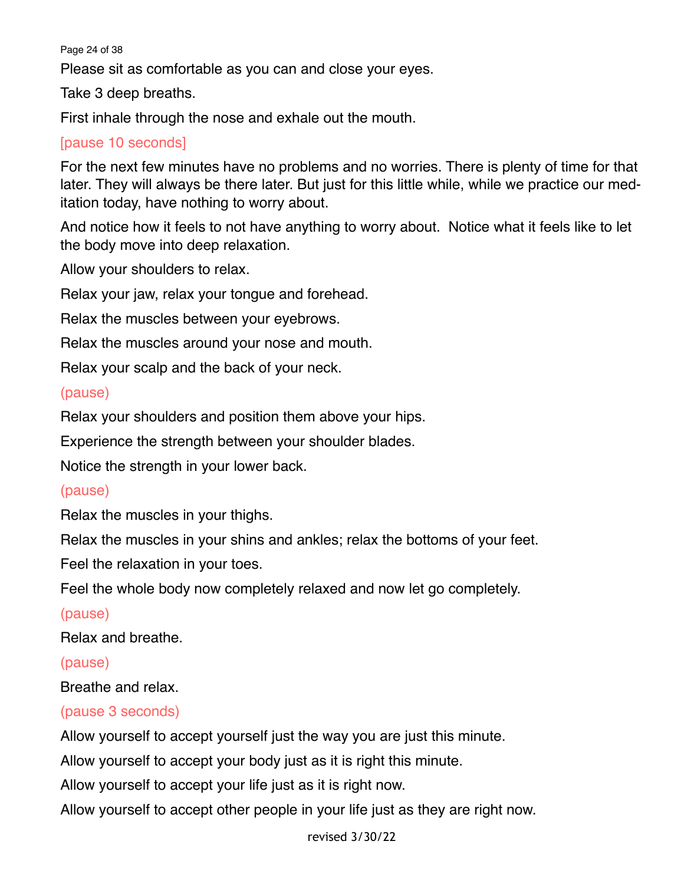Page 24 of 38

Please sit as comfortable as you can and close your eyes.

Take 3 deep breaths.

First inhale through the nose and exhale out the mouth.

## [pause 10 seconds]

For the next few minutes have no problems and no worries. There is plenty of time for that later. They will always be there later. But just for this little while, while we practice our meditation today, have nothing to worry about.

And notice how it feels to not have anything to worry about. Notice what it feels like to let the body move into deep relaxation.

Allow your shoulders to relax.

Relax your jaw, relax your tongue and forehead.

Relax the muscles between your eyebrows.

Relax the muscles around your nose and mouth.

Relax your scalp and the back of your neck.

#### (pause)

Relax your shoulders and position them above your hips.

Experience the strength between your shoulder blades.

Notice the strength in your lower back.

#### (pause)

Relax the muscles in your thighs.

Relax the muscles in your shins and ankles; relax the bottoms of your feet.

Feel the relaxation in your toes.

Feel the whole body now completely relaxed and now let go completely.

#### (pause)

Relax and breathe.

#### (pause)

Breathe and relax.

#### (pause 3 seconds)

Allow yourself to accept yourself just the way you are just this minute.

Allow yourself to accept your body just as it is right this minute.

Allow yourself to accept your life just as it is right now.

Allow yourself to accept other people in your life just as they are right now.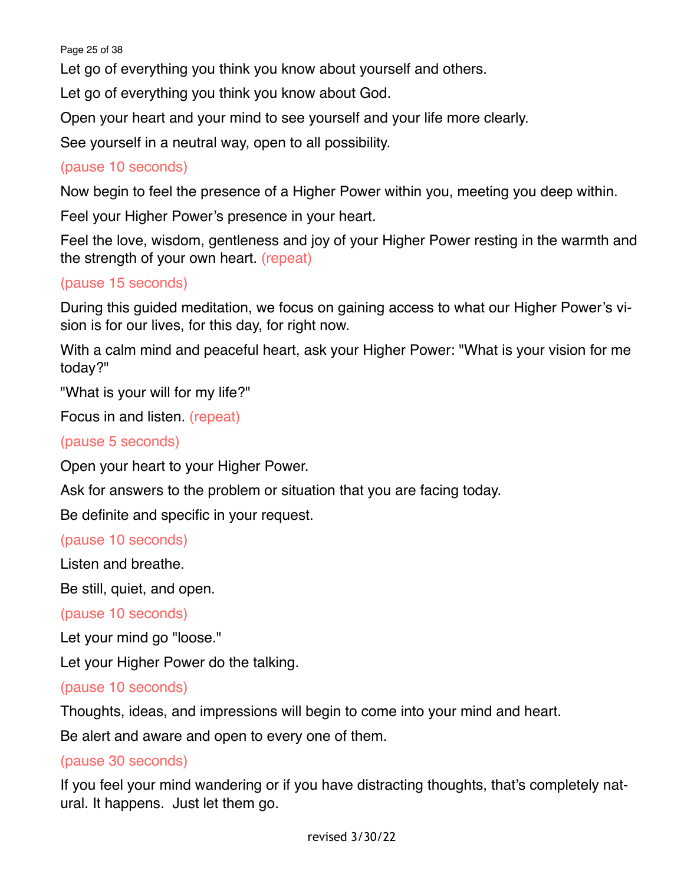Page 25 of 38

Let go of everything you think you know about yourself and others.

Let go of everything you think you know about God.

Open your heart and your mind to see yourself and your life more clearly.

See yourself in a neutral way, open to all possibility.

## (pause 10 seconds)

Now begin to feel the presence of a Higher Power within you, meeting you deep within.

Feel your Higher Power's presence in your heart.

Feel the love, wisdom, gentleness and joy of your Higher Power resting in the warmth and the strength of your own heart. (repeat)

## (pause 15 seconds)

During this guided meditation, we focus on gaining access to what our Higher Power's vision is for our lives, for this day, for right now.

With a calm mind and peaceful heart, ask your Higher Power: "What is your vision for me today?"

"What is your will for my life?"

Focus in and listen. (repeat)

(pause 5 seconds)

Open your heart to your Higher Power.

Ask for answers to the problem or situation that you are facing today.

Be definite and specific in your request.

(pause 10 seconds)

Listen and breathe.

Be still, quiet, and open.

(pause 10 seconds)

Let your mind go "loose."

Let your Higher Power do the talking.

#### (pause 10 seconds)

Thoughts, ideas, and impressions will begin to come into your mind and heart.

Be alert and aware and open to every one of them.

## (pause 30 seconds)

If you feel your mind wandering or if you have distracting thoughts, that's completely natural. It happens. Just let them go.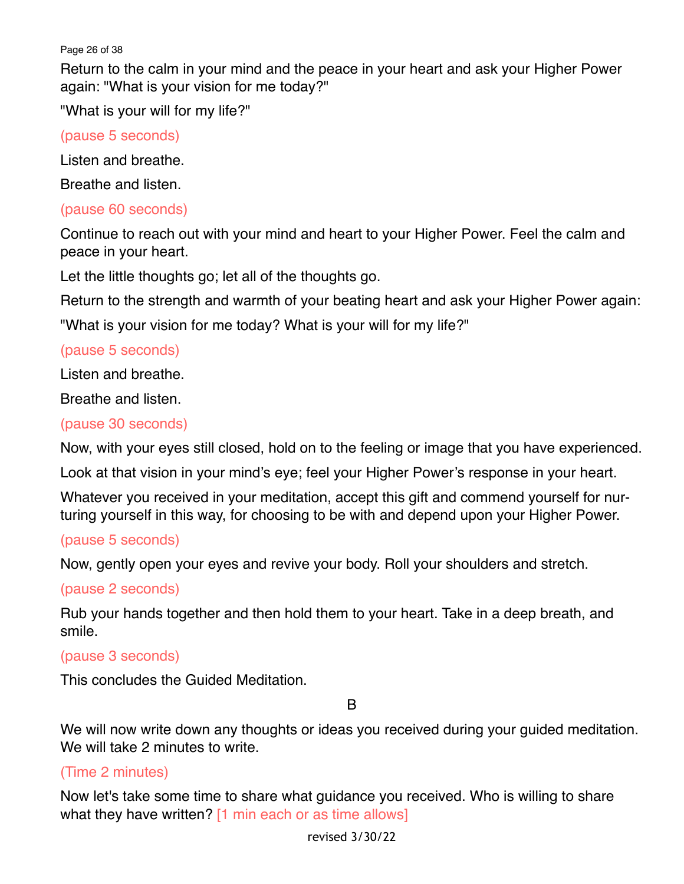Page 26 of 38

Return to the calm in your mind and the peace in your heart and ask your Higher Power again: "What is your vision for me today?"

"What is your will for my life?"

(pause 5 seconds)

Listen and breathe.

Breathe and listen.

#### (pause 60 seconds)

Continue to reach out with your mind and heart to your Higher Power. Feel the calm and peace in your heart.

Let the little thoughts go; let all of the thoughts go.

Return to the strength and warmth of your beating heart and ask your Higher Power again:

"What is your vision for me today? What is your will for my life?"

## (pause 5 seconds)

Listen and breathe.

Breathe and listen.

## (pause 30 seconds)

Now, with your eyes still closed, hold on to the feeling or image that you have experienced.

Look at that vision in your mind's eye; feel your Higher Power's response in your heart.

Whatever you received in your meditation, accept this gift and commend yourself for nurturing yourself in this way, for choosing to be with and depend upon your Higher Power.

#### (pause 5 seconds)

Now, gently open your eyes and revive your body. Roll your shoulders and stretch.

#### (pause 2 seconds)

Rub your hands together and then hold them to your heart. Take in a deep breath, and smile.

#### (pause 3 seconds)

This concludes the Guided Meditation.

B

We will now write down any thoughts or ideas you received during your guided meditation. We will take 2 minutes to write.

## (Time 2 minutes)

Now let's take some time to share what guidance you received. Who is willing to share what they have written? [1 min each or as time allows]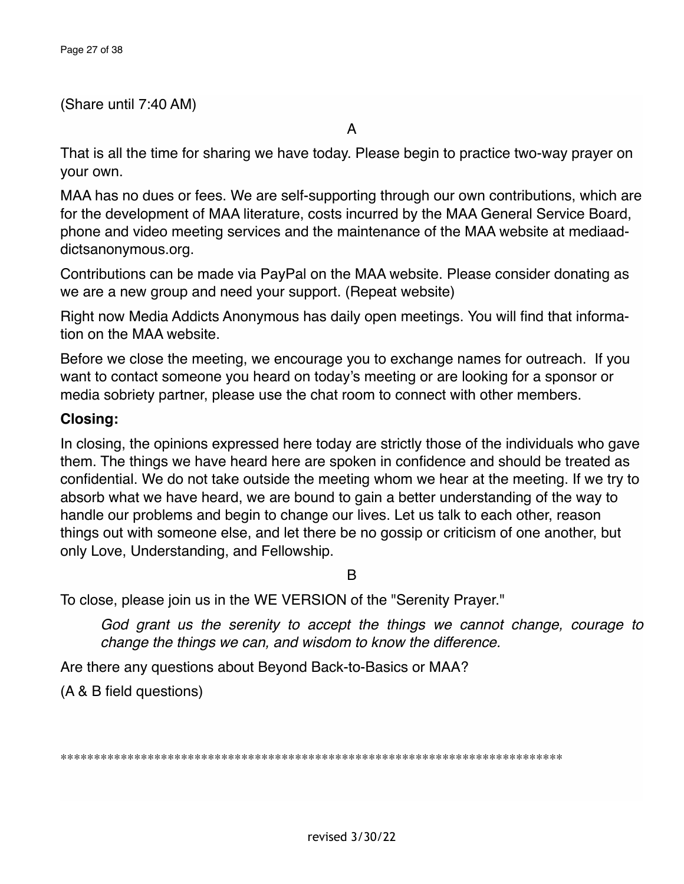#### (Share until 7:40 AM)

That is all the time for sharing we have today. Please begin to practice two-way prayer on your own.

MAA has no dues or fees. We are self-supporting through our own contributions, which are for the development of MAA literature, costs incurred by the MAA General Service Board, phone and video meeting services and the maintenance of the MAA website at mediaaddictsanonymous.org.

Contributions can be made via PayPal on the MAA website. Please consider donating as we are a new group and need your support. (Repeat website)

Right now Media Addicts Anonymous has daily open meetings. You will find that information on the MAA website.

Before we close the meeting, we encourage you to exchange names for outreach. If you want to contact someone you heard on today's meeting or are looking for a sponsor or media sobriety partner, please use the chat room to connect with other members.

## **Closing:**

In closing, the opinions expressed here today are strictly those of the individuals who gave them. The things we have heard here are spoken in confidence and should be treated as confidential. We do not take outside the meeting whom we hear at the meeting. If we try to absorb what we have heard, we are bound to gain a better understanding of the way to handle our problems and begin to change our lives. Let us talk to each other, reason things out with someone else, and let there be no gossip or criticism of one another, but only Love, Understanding, and Fellowship.

B

To close, please join us in the WE VERSION of the "Serenity Prayer."

*God grant us the serenity to accept the things we cannot change, courage to change the things we can, and wisdom to know the difference.*

Are there any questions about Beyond Back-to-Basics or MAA?

(A & B field questions)

\*\*\*\*\*\*\*\*\*\*\*\*\*\*\*\*\*\*\*\*\*\*\*\*\*\*\*\*\*\*\*\*\*\*\*\*\*\*\*\*\*\*\*\*\*\*\*\*\*\*\*\*\*\*\*\*\*\*\*\*\*\*\*\*\*\*\*\*\*\*\*\*\*\*\*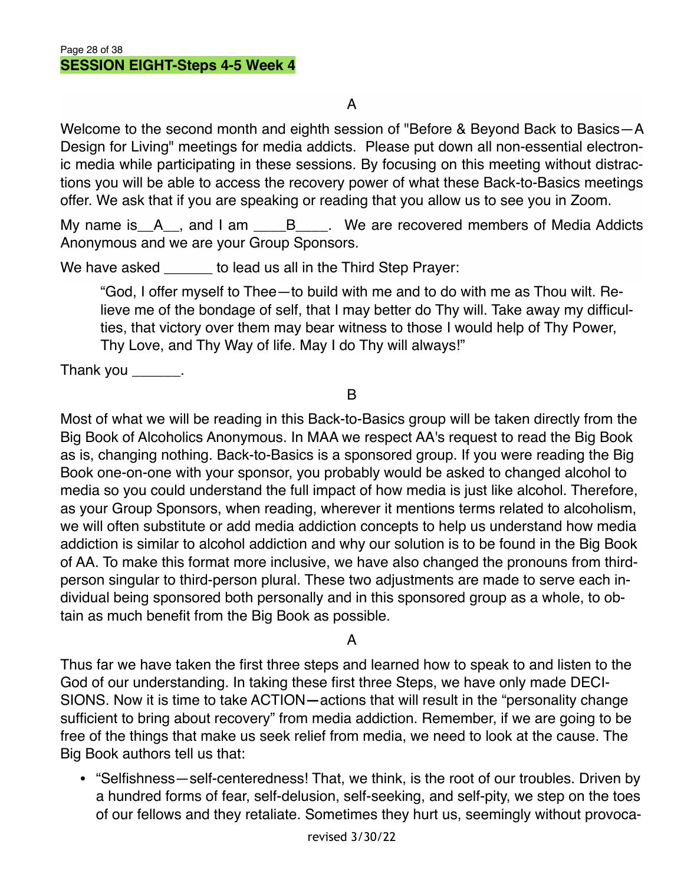Welcome to the second month and eighth session of "Before & Beyond Back to Basics—A Design for Living" meetings for media addicts. Please put down all non-essential electronic media while participating in these sessions. By focusing on this meeting without distractions you will be able to access the recovery power of what these Back-to-Basics meetings offer. We ask that if you are speaking or reading that you allow us to see you in Zoom.

My name is A<sub>\_\_</sub>, and I am \_\_\_\_B<sub>\_\_\_\_</sub>. We are recovered members of Media Addicts Anonymous and we are your Group Sponsors.

We have asked boost to lead us all in the Third Step Prayer:

"God, I offer myself to Thee—to build with me and to do with me as Thou wilt. Relieve me of the bondage of self, that I may better do Thy will. Take away my difficulties, that victory over them may bear witness to those I would help of Thy Power, Thy Love, and Thy Way of life. May I do Thy will always!"

Thank you  $\_\_\_\_\_\_\$ .

B

Most of what we will be reading in this Back-to-Basics group will be taken directly from the Big Book of Alcoholics Anonymous. In MAA we respect AA's request to read the Big Book as is, changing nothing. Back-to-Basics is a sponsored group. If you were reading the Big Book one-on-one with your sponsor, you probably would be asked to changed alcohol to media so you could understand the full impact of how media is just like alcohol. Therefore, as your Group Sponsors, when reading, wherever it mentions terms related to alcoholism, we will often substitute or add media addiction concepts to help us understand how media addiction is similar to alcohol addiction and why our solution is to be found in the Big Book of AA. To make this format more inclusive, we have also changed the pronouns from thirdperson singular to third-person plural. These two adjustments are made to serve each individual being sponsored both personally and in this sponsored group as a whole, to obtain as much benefit from the Big Book as possible.

## A

Thus far we have taken the first three steps and learned how to speak to and listen to the God of our understanding. In taking these first three Steps, we have only made DECI-SIONS. Now it is time to take ACTION**—**actions that will result in the "personality change sufficient to bring about recovery" from media addiction. Remember, if we are going to be free of the things that make us seek relief from media, we need to look at the cause. The Big Book authors tell us that:

• "Selfishness—self-centeredness! That, we think, is the root of our troubles. Driven by a hundred forms of fear, self-delusion, self-seeking, and self-pity, we step on the toes of our fellows and they retaliate. Sometimes they hurt us, seemingly without provoca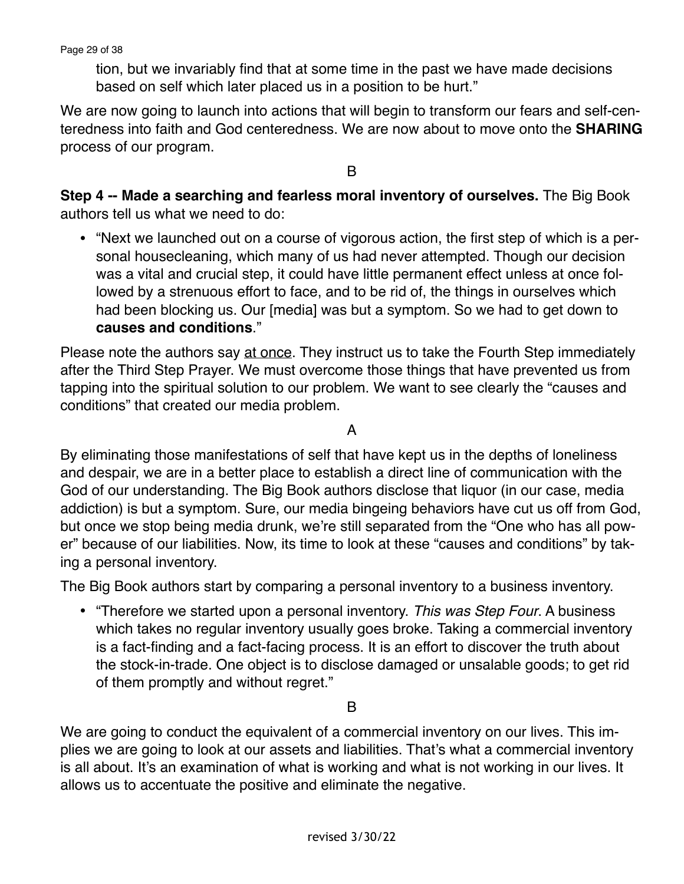Page 29 of 38

tion, but we invariably find that at some time in the past we have made decisions based on self which later placed us in a position to be hurt."

We are now going to launch into actions that will begin to transform our fears and self-centeredness into faith and God centeredness. We are now about to move onto the **SHARING** process of our program.

B

**Step 4 -- Made a searching and fearless moral inventory of ourselves.** The Big Book authors tell us what we need to do:

• "Next we launched out on a course of vigorous action, the first step of which is a personal housecleaning, which many of us had never attempted. Though our decision was a vital and crucial step, it could have little permanent effect unless at once followed by a strenuous effort to face, and to be rid of, the things in ourselves which had been blocking us. Our [media] was but a symptom. So we had to get down to **causes and conditions**."

Please note the authors say at once. They instruct us to take the Fourth Step immediately after the Third Step Prayer. We must overcome those things that have prevented us from tapping into the spiritual solution to our problem. We want to see clearly the "causes and conditions" that created our media problem.

A

By eliminating those manifestations of self that have kept us in the depths of loneliness and despair, we are in a better place to establish a direct line of communication with the God of our understanding. The Big Book authors disclose that liquor (in our case, media addiction) is but a symptom. Sure, our media bingeing behaviors have cut us off from God, but once we stop being media drunk, we're still separated from the "One who has all power" because of our liabilities. Now, its time to look at these "causes and conditions" by taking a personal inventory.

The Big Book authors start by comparing a personal inventory to a business inventory.

• "Therefore we started upon a personal inventory. *This was Step Four*. A business which takes no regular inventory usually goes broke. Taking a commercial inventory is a fact-finding and a fact-facing process. It is an effort to discover the truth about the stock-in-trade. One object is to disclose damaged or unsalable goods; to get rid of them promptly and without regret."

B

We are going to conduct the equivalent of a commercial inventory on our lives. This implies we are going to look at our assets and liabilities. That's what a commercial inventory is all about. It's an examination of what is working and what is not working in our lives. It allows us to accentuate the positive and eliminate the negative.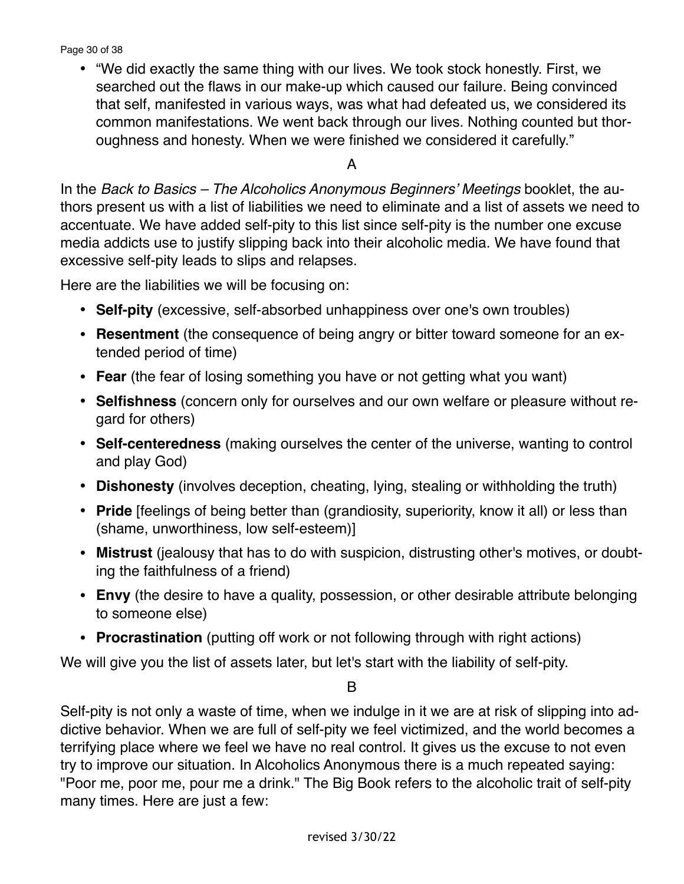Page 30 of 38

• "We did exactly the same thing with our lives. We took stock honestly. First, we searched out the flaws in our make-up which caused our failure. Being convinced that self, manifested in various ways, was what had defeated us, we considered its common manifestations. We went back through our lives. Nothing counted but thoroughness and honesty. When we were finished we considered it carefully."

#### A

In the *Back to Basics – The Alcoholics Anonymous Beginners' Meetings* booklet, the authors present us with a list of liabilities we need to eliminate and a list of assets we need to accentuate. We have added self-pity to this list since self-pity is the number one excuse media addicts use to justify slipping back into their alcoholic media. We have found that excessive self-pity leads to slips and relapses.

Here are the liabilities we will be focusing on:

- **• Self-pity** (excessive, self-absorbed unhappiness over one's own troubles)
- **Resentment** (the consequence of being angry or bitter toward someone for an extended period of time)
- **Fear** (the fear of losing something you have or not getting what you want)
- **Selfishness** (concern only for ourselves and our own welfare or pleasure without regard for others)
- **Self-centeredness** (making ourselves the center of the universe, wanting to control and play God)
- **Dishonesty** (involves deception, cheating, lying, stealing or withholding the truth)
- **Pride** [feelings of being better than (grandiosity, superiority, know it all) or less than (shame, unworthiness, low self-esteem)]
- **Mistrust** (jealousy that has to do with suspicion, distrusting other's motives, or doubting the faithfulness of a friend)
- **Envy** (the desire to have a quality, possession, or other desirable attribute belonging to someone else)
- **Procrastination** (putting off work or not following through with right actions)

We will give you the list of assets later, but let's start with the liability of self-pity.

B

Self-pity is not only a waste of time, when we indulge in it we are at risk of slipping into addictive behavior. When we are full of self-pity we feel victimized, and the world becomes a terrifying place where we feel we have no real control. It gives us the excuse to not even try to improve our situation. In Alcoholics Anonymous there is a much repeated saying: "Poor me, poor me, pour me a drink." The Big Book refers to the alcoholic trait of self-pity many times. Here are just a few: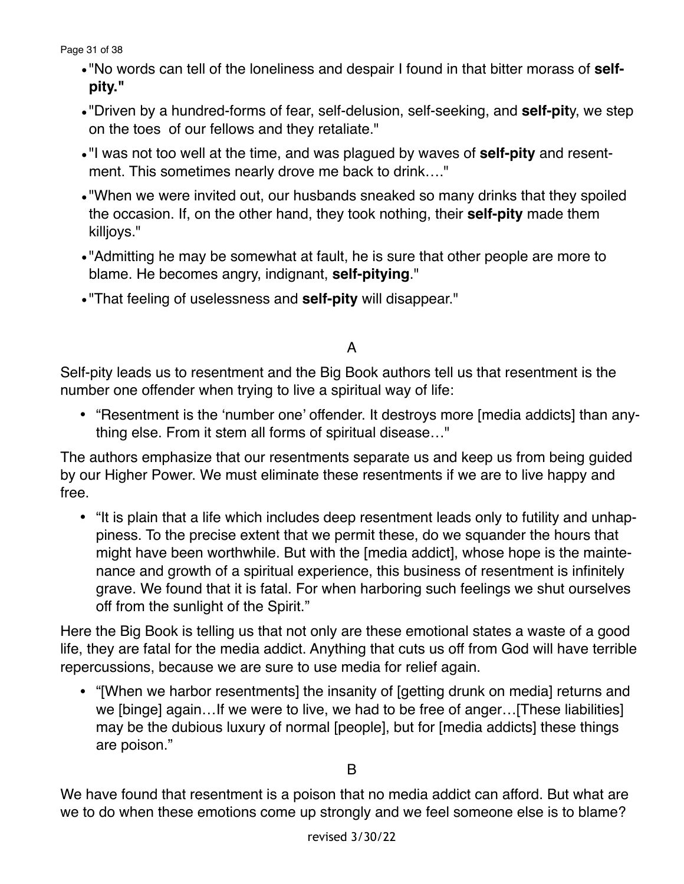Page 31 of 38

- •"No words can tell of the loneliness and despair I found in that bitter morass of **selfpity."**
- •"Driven by a hundred-forms of fear, self-delusion, self-seeking, and **self-pit**y, we step on the toes of our fellows and they retaliate."
- •"I was not too well at the time, and was plagued by waves of **self-pity** and resentment. This sometimes nearly drove me back to drink…."
- •"When we were invited out, our husbands sneaked so many drinks that they spoiled the occasion. If, on the other hand, they took nothing, their **self-pity** made them killjoys."
- •"Admitting he may be somewhat at fault, he is sure that other people are more to blame. He becomes angry, indignant, **self-pitying**."
- •"That feeling of uselessness and **self-pity** will disappear."

# A

Self-pity leads us to resentment and the Big Book authors tell us that resentment is the number one offender when trying to live a spiritual way of life:

• "Resentment is the 'number one' offender. It destroys more [media addicts] than anything else. From it stem all forms of spiritual disease…"

The authors emphasize that our resentments separate us and keep us from being guided by our Higher Power. We must eliminate these resentments if we are to live happy and free.

• "It is plain that a life which includes deep resentment leads only to futility and unhappiness. To the precise extent that we permit these, do we squander the hours that might have been worthwhile. But with the [media addict], whose hope is the maintenance and growth of a spiritual experience, this business of resentment is infinitely grave. We found that it is fatal. For when harboring such feelings we shut ourselves off from the sunlight of the Spirit."

Here the Big Book is telling us that not only are these emotional states a waste of a good life, they are fatal for the media addict. Anything that cuts us off from God will have terrible repercussions, because we are sure to use media for relief again.

• "[When we harbor resentments] the insanity of [getting drunk on media] returns and we [binge] again…If we were to live, we had to be free of anger…[These liabilities] may be the dubious luxury of normal [people], but for [media addicts] these things are poison."

We have found that resentment is a poison that no media addict can afford. But what are we to do when these emotions come up strongly and we feel someone else is to blame?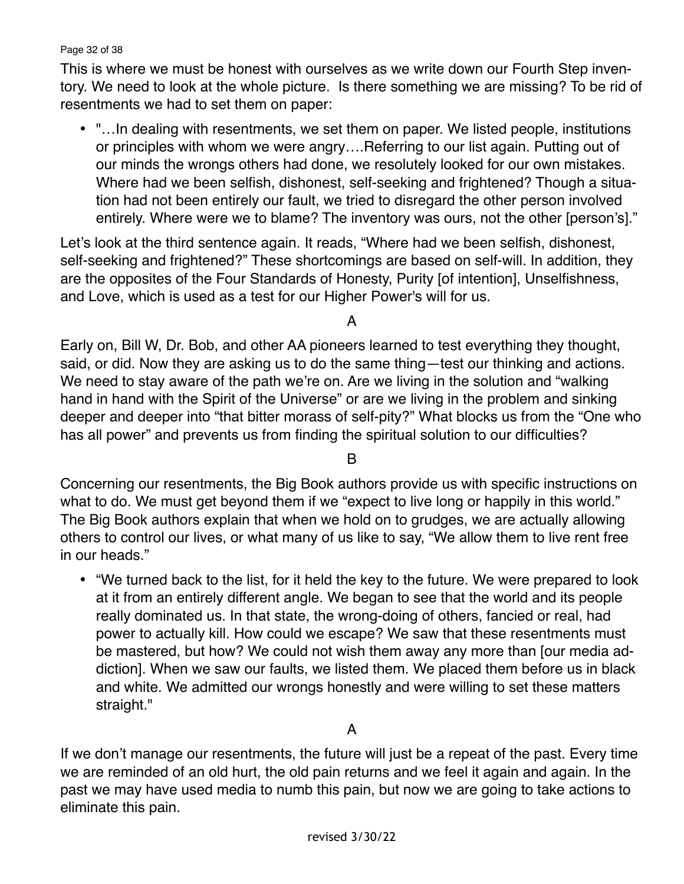Page 32 of 38

This is where we must be honest with ourselves as we write down our Fourth Step inventory. We need to look at the whole picture. Is there something we are missing? To be rid of resentments we had to set them on paper:

• "…In dealing with resentments, we set them on paper. We listed people, institutions or principles with whom we were angry….Referring to our list again. Putting out of our minds the wrongs others had done, we resolutely looked for our own mistakes. Where had we been selfish, dishonest, self-seeking and frightened? Though a situation had not been entirely our fault, we tried to disregard the other person involved entirely. Where were we to blame? The inventory was ours, not the other [person's]."

Let's look at the third sentence again. It reads, "Where had we been selfish, dishonest, self-seeking and frightened?" These shortcomings are based on self-will. In addition, they are the opposites of the Four Standards of Honesty, Purity [of intention], Unselfishness, and Love, which is used as a test for our Higher Power's will for us.

A

Early on, Bill W, Dr. Bob, and other AA pioneers learned to test everything they thought, said, or did. Now they are asking us to do the same thing—test our thinking and actions. We need to stay aware of the path we're on. Are we living in the solution and "walking" hand in hand with the Spirit of the Universe" or are we living in the problem and sinking deeper and deeper into "that bitter morass of self-pity?" What blocks us from the "One who has all power" and prevents us from finding the spiritual solution to our difficulties?

B

Concerning our resentments, the Big Book authors provide us with specific instructions on what to do. We must get beyond them if we "expect to live long or happily in this world." The Big Book authors explain that when we hold on to grudges, we are actually allowing others to control our lives, or what many of us like to say, "We allow them to live rent free in our heads."

• "We turned back to the list, for it held the key to the future. We were prepared to look at it from an entirely different angle. We began to see that the world and its people really dominated us. In that state, the wrong-doing of others, fancied or real, had power to actually kill. How could we escape? We saw that these resentments must be mastered, but how? We could not wish them away any more than [our media addiction]. When we saw our faults, we listed them. We placed them before us in black and white. We admitted our wrongs honestly and were willing to set these matters straight."

A

If we don't manage our resentments, the future will just be a repeat of the past. Every time we are reminded of an old hurt, the old pain returns and we feel it again and again. In the past we may have used media to numb this pain, but now we are going to take actions to eliminate this pain.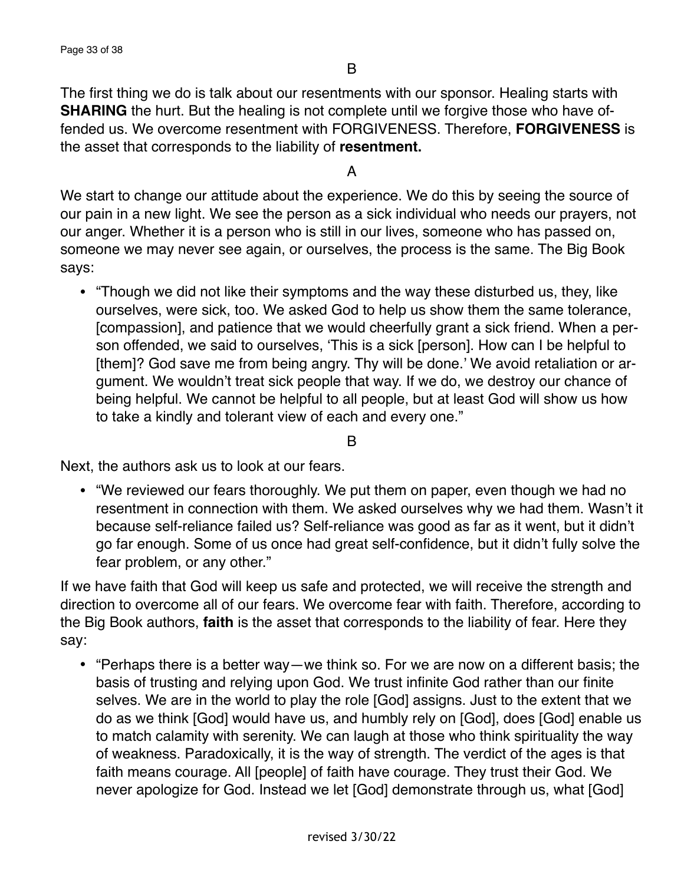The first thing we do is talk about our resentments with our sponsor. Healing starts with **SHARING** the hurt. But the healing is not complete until we forgive those who have offended us. We overcome resentment with FORGIVENESS. Therefore, **FORGIVENESS** is the asset that corresponds to the liability of **resentment.**

A

We start to change our attitude about the experience. We do this by seeing the source of our pain in a new light. We see the person as a sick individual who needs our prayers, not our anger. Whether it is a person who is still in our lives, someone who has passed on, someone we may never see again, or ourselves, the process is the same. The Big Book says:

• "Though we did not like their symptoms and the way these disturbed us, they, like ourselves, were sick, too. We asked God to help us show them the same tolerance, [compassion], and patience that we would cheerfully grant a sick friend. When a person offended, we said to ourselves, 'This is a sick [person]. How can I be helpful to [them]? God save me from being angry. Thy will be done.' We avoid retaliation or argument. We wouldn't treat sick people that way. If we do, we destroy our chance of being helpful. We cannot be helpful to all people, but at least God will show us how to take a kindly and tolerant view of each and every one."

B

Next, the authors ask us to look at our fears.

• "We reviewed our fears thoroughly. We put them on paper, even though we had no resentment in connection with them. We asked ourselves why we had them. Wasn't it because self-reliance failed us? Self-reliance was good as far as it went, but it didn't go far enough. Some of us once had great self-confidence, but it didn't fully solve the fear problem, or any other."

If we have faith that God will keep us safe and protected, we will receive the strength and direction to overcome all of our fears. We overcome fear with faith. Therefore, according to the Big Book authors, **faith** is the asset that corresponds to the liability of fear. Here they say:

• "Perhaps there is a better way—we think so. For we are now on a different basis; the basis of trusting and relying upon God. We trust infinite God rather than our finite selves. We are in the world to play the role [God] assigns. Just to the extent that we do as we think [God] would have us, and humbly rely on [God], does [God] enable us to match calamity with serenity. We can laugh at those who think spirituality the way of weakness. Paradoxically, it is the way of strength. The verdict of the ages is that faith means courage. All [people] of faith have courage. They trust their God. We never apologize for God. Instead we let [God] demonstrate through us, what [God]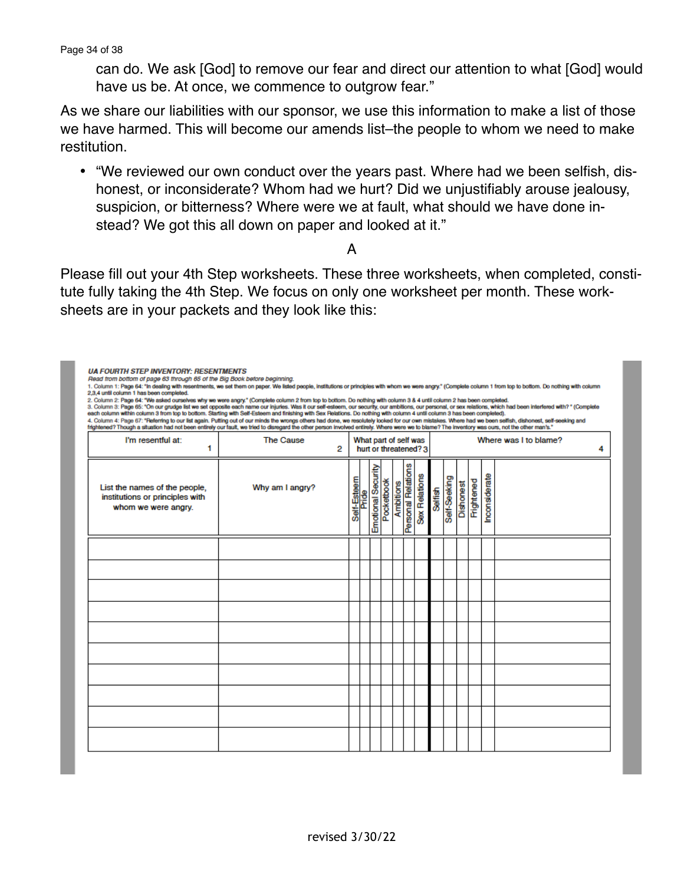Page 34 of 38

**UA FOURTH STEP INVENTORY: RESENTMENTS** 

Read from bottom of page 63 through 65 of the Big Book before beginning.

can do. We ask [God] to remove our fear and direct our attention to what [God] would have us be. At once, we commence to outgrow fear."

As we share our liabilities with our sponsor, we use this information to make a list of those we have harmed. This will become our amends list–the people to whom we need to make restitution.

• "We reviewed our own conduct over the years past. Where had we been selfish, dishonest, or inconsiderate? Whom had we hurt? Did we unjustifiably arouse jealousy, suspicion, or bitterness? Where were we at fault, what should we have done instead? We got this all down on paper and looked at it."

#### A

Please fill out your 4th Step worksheets. These three worksheets, when completed, constitute fully taking the 4th Step. We focus on only one worksheet per month. These worksheets are in your packets and they look like this:

| 1. Column 1: Page 64: "In dealing with resentments, we set them on paper. We listed people, institutions or principles with whom we were angry." (Complete column 1 from top to bottom. Do nothing with column<br>2,3,4 until column 1 has been completed.<br>2. Column 2: Page 64: "We asked ourselves why we were angry." (Complete column 2 from top to bottom. Do nothing with column 3 & 4 until column 2 has been completed.<br>3. Column 3: Page 65: "On our grudge list we set opposite each name our injuries. Was it our self-esteem, our security, our ambitions, our personal, or sex relations, which had been interfered with? " (Complete<br>each column within column 3 from top to bottom. Starting with Self-Esteem and finishing with Sex Relations. Do nothing with column 4 until column 3 has been completed).<br>4. Column 4: Page 67: "Referring to our list again. Putting out of our minds the wrongs others had done, we resolutely looked for our own mistakes. Where had we been selfish, dishonest, self-seeking and<br>frightened? Though a situation had not been entirely our fault, we tried to disregard the other person involved entirely. Where were we to blame? The inventory was ours, not the other man's." |                       |                                                |            |                    |            |           |                    |                       |                |              |           |            |               |  |  |
|-------------------------------------------------------------------------------------------------------------------------------------------------------------------------------------------------------------------------------------------------------------------------------------------------------------------------------------------------------------------------------------------------------------------------------------------------------------------------------------------------------------------------------------------------------------------------------------------------------------------------------------------------------------------------------------------------------------------------------------------------------------------------------------------------------------------------------------------------------------------------------------------------------------------------------------------------------------------------------------------------------------------------------------------------------------------------------------------------------------------------------------------------------------------------------------------------------------------------------------------------------|-----------------------|------------------------------------------------|------------|--------------------|------------|-----------|--------------------|-----------------------|----------------|--------------|-----------|------------|---------------|--|--|
| I'm resentful at:<br>1                                                                                                                                                                                                                                                                                                                                                                                                                                                                                                                                                                                                                                                                                                                                                                                                                                                                                                                                                                                                                                                                                                                                                                                                                                | <b>The Cause</b><br>2 | What part of self was<br>hurt or threatened? 3 |            |                    |            |           |                    | Where was I to blame? |                |              |           |            | 4             |  |  |
| List the names of the people,<br>institutions or principles with<br>whom we were angry.                                                                                                                                                                                                                                                                                                                                                                                                                                                                                                                                                                                                                                                                                                                                                                                                                                                                                                                                                                                                                                                                                                                                                               | Why am I angry?       | Self-Esteem                                    | e<br>Fride | Emotional Security | Pocketbook | Ambitions | Personal Relations | Sex Relations         | <b>Selfish</b> | Self-Seeking | Dishonest | Frightened | Inconsiderate |  |  |
|                                                                                                                                                                                                                                                                                                                                                                                                                                                                                                                                                                                                                                                                                                                                                                                                                                                                                                                                                                                                                                                                                                                                                                                                                                                       |                       |                                                |            |                    |            |           |                    |                       |                |              |           |            |               |  |  |
|                                                                                                                                                                                                                                                                                                                                                                                                                                                                                                                                                                                                                                                                                                                                                                                                                                                                                                                                                                                                                                                                                                                                                                                                                                                       |                       |                                                |            |                    |            |           |                    |                       |                |              |           |            |               |  |  |
|                                                                                                                                                                                                                                                                                                                                                                                                                                                                                                                                                                                                                                                                                                                                                                                                                                                                                                                                                                                                                                                                                                                                                                                                                                                       |                       |                                                |            |                    |            |           |                    |                       |                |              |           |            |               |  |  |
|                                                                                                                                                                                                                                                                                                                                                                                                                                                                                                                                                                                                                                                                                                                                                                                                                                                                                                                                                                                                                                                                                                                                                                                                                                                       |                       |                                                |            |                    |            |           |                    |                       |                |              |           |            |               |  |  |
|                                                                                                                                                                                                                                                                                                                                                                                                                                                                                                                                                                                                                                                                                                                                                                                                                                                                                                                                                                                                                                                                                                                                                                                                                                                       |                       |                                                |            |                    |            |           |                    |                       |                |              |           |            |               |  |  |
|                                                                                                                                                                                                                                                                                                                                                                                                                                                                                                                                                                                                                                                                                                                                                                                                                                                                                                                                                                                                                                                                                                                                                                                                                                                       |                       |                                                |            |                    |            |           |                    |                       |                |              |           |            |               |  |  |
|                                                                                                                                                                                                                                                                                                                                                                                                                                                                                                                                                                                                                                                                                                                                                                                                                                                                                                                                                                                                                                                                                                                                                                                                                                                       |                       |                                                |            |                    |            |           |                    |                       |                |              |           |            |               |  |  |
|                                                                                                                                                                                                                                                                                                                                                                                                                                                                                                                                                                                                                                                                                                                                                                                                                                                                                                                                                                                                                                                                                                                                                                                                                                                       |                       |                                                |            |                    |            |           |                    |                       |                |              |           |            |               |  |  |
|                                                                                                                                                                                                                                                                                                                                                                                                                                                                                                                                                                                                                                                                                                                                                                                                                                                                                                                                                                                                                                                                                                                                                                                                                                                       |                       |                                                |            |                    |            |           |                    |                       |                |              |           |            |               |  |  |
|                                                                                                                                                                                                                                                                                                                                                                                                                                                                                                                                                                                                                                                                                                                                                                                                                                                                                                                                                                                                                                                                                                                                                                                                                                                       |                       |                                                |            |                    |            |           |                    |                       |                |              |           |            |               |  |  |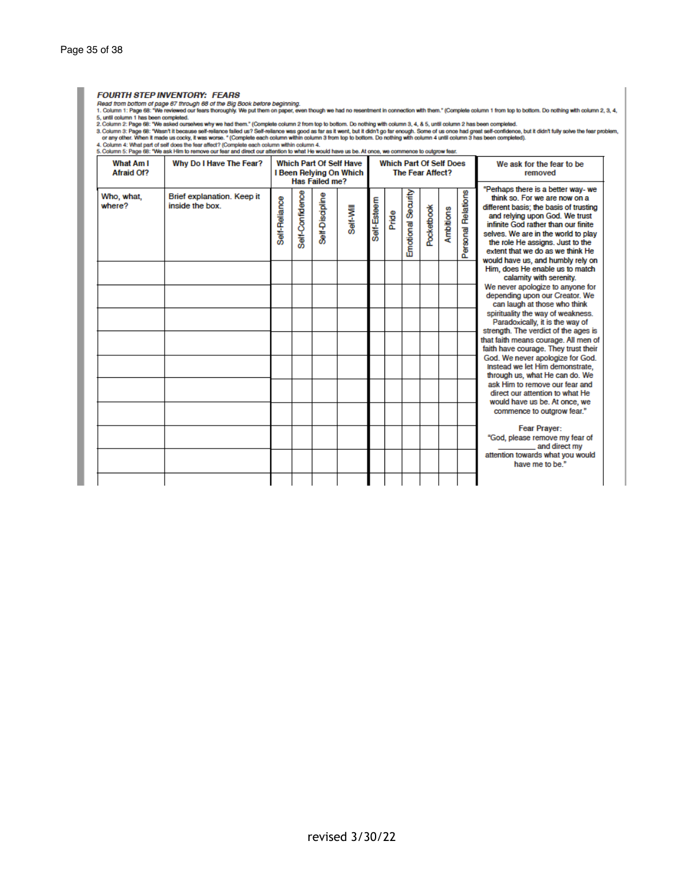#### **FOURTH STEP INVENTORY: FEARS**

FOURTH STEP INVENTORY: FEARS<br>Thead from bottom of page 67 through 88 of the Big Book before beginning.<br>1. Column 1: Page 68: "We reviewed our fears thoroughly. We put them on paper, even though we had no resentment in conn

| <b>What Am I</b><br>Afraid Of? | Why Do I Have The Fear?                       | <b>Which Part Of Self Have</b><br>I Been Relying On Which<br>Has Failed me? |                 |                 |           |             |       | <b>Which Part Of Self Does</b><br>The Fear Affect? |            |           |                    | We ask for the fear to be<br>removed                                                                                                                                                                                                                                                                                                       |
|--------------------------------|-----------------------------------------------|-----------------------------------------------------------------------------|-----------------|-----------------|-----------|-------------|-------|----------------------------------------------------|------------|-----------|--------------------|--------------------------------------------------------------------------------------------------------------------------------------------------------------------------------------------------------------------------------------------------------------------------------------------------------------------------------------------|
| Who, what,<br>where?           | Brief explanation. Keep it<br>inside the box. | Self-Reliance                                                               | Self-Confidence | Self-Discipline | Self-Will | Self-Esteem | Pride | Emotional Security                                 | Pocketbook | Ambitions | Personal Relations | "Perhaps there is a better way- we<br>think so. For we are now on a<br>different basis; the basis of trusting<br>and relying upon God. We trust<br>infinite God rather than our finite<br>selves. We are in the world to play<br>the role He assigns, Just to the<br>extent that we do as we think He<br>would have us, and humbly rely on |
|                                |                                               |                                                                             |                 |                 |           |             |       |                                                    |            |           |                    | Him, does He enable us to match<br>calamity with serenity.                                                                                                                                                                                                                                                                                 |
|                                |                                               |                                                                             |                 |                 |           |             |       |                                                    |            |           |                    | We never apologize to anyone for<br>depending upon our Creator. We<br>can laugh at those who think<br>spirituality the way of weakness.<br>Paradoxically, it is the way of<br>strength. The verdict of the ages is<br>that faith means courage. All men of<br>faith have courage. They trust their<br>God. We never apologize for God.     |
|                                |                                               |                                                                             |                 |                 |           |             |       |                                                    |            |           |                    | Instead we let Him demonstrate.<br>through us, what He can do. We<br>ask Him to remove our fear and<br>direct our attention to what He<br>would have us be. At once, we<br>commence to outgrow fear."                                                                                                                                      |
|                                |                                               |                                                                             |                 |                 |           |             |       |                                                    |            |           |                    | <b>Fear Prayer:</b><br>"God, please remove my fear of<br>and direct my                                                                                                                                                                                                                                                                     |
|                                |                                               |                                                                             |                 |                 |           |             |       |                                                    |            |           |                    | attention towards what you would<br>have me to be."                                                                                                                                                                                                                                                                                        |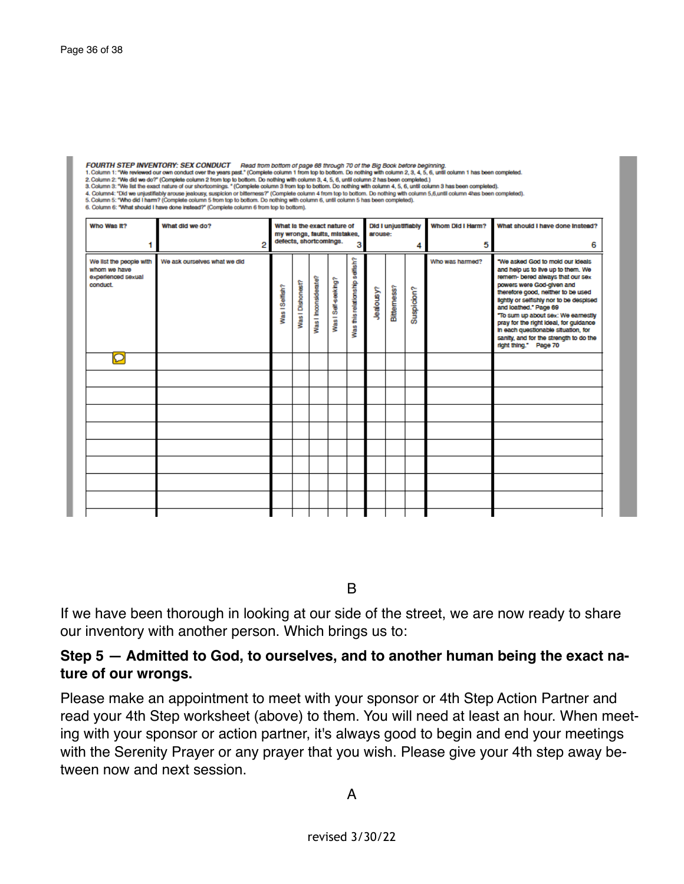| FOURTH STEP INVENTORY: SEX CONDUCT    Read trom bottom of page 68 through 70 of the Big Book before beginning.<br>1. Column 1: "We reviewed our own conduct over the years past." (Complete column 1 from top to bottom. Do nothing with column 2, 3, 4, 5, 6, until column 1 has been completed.<br>2. Column 2: "We did we do?" (Complete column 2 from top to bottom. Do nothing with column 3, 4, 5, 6, until column 2 has been completed.)<br>3. Column 3: "We list the exact nature of our shortcomings. " (Complete column 3 from top to bottom. Do nothing with column 4, 5, 6, until column 3 has been completed).<br>4. Column4: "Did we unjustifiably arouse jealousy, suspicion or bitterness?" (Complete column 4 from top to bottom. Do nothing with column 5,6,until column 4has been completed).<br>5. Column 5: "Who did I harm? (Complete column 5 from top to bottom. Do nothing with column 6, until column 5 has been completed).<br>6. Column 6: "What should I have done instead?" (Complete column 6 from top to bottom). |                              |                                                                                       |                  |                      |                     |                                |                |                            |            |                  |                                                                                                                                                                                                                                                                                                                                                                                                                                             |  |
|---------------------------------------------------------------------------------------------------------------------------------------------------------------------------------------------------------------------------------------------------------------------------------------------------------------------------------------------------------------------------------------------------------------------------------------------------------------------------------------------------------------------------------------------------------------------------------------------------------------------------------------------------------------------------------------------------------------------------------------------------------------------------------------------------------------------------------------------------------------------------------------------------------------------------------------------------------------------------------------------------------------------------------------------------|------------------------------|---------------------------------------------------------------------------------------|------------------|----------------------|---------------------|--------------------------------|----------------|----------------------------|------------|------------------|---------------------------------------------------------------------------------------------------------------------------------------------------------------------------------------------------------------------------------------------------------------------------------------------------------------------------------------------------------------------------------------------------------------------------------------------|--|
| Who Was It?                                                                                                                                                                                                                                                                                                                                                                                                                                                                                                                                                                                                                                                                                                                                                                                                                                                                                                                                                                                                                                       | What did we do?              | What is the exact nature of<br>my wrongs, faults, mistakes,<br>defects, shortcomings. |                  |                      |                     |                                | arouse:        | <b>Did I unjustifiably</b> |            | Whom Did I Harm? | What should I have done Instead?                                                                                                                                                                                                                                                                                                                                                                                                            |  |
| 1                                                                                                                                                                                                                                                                                                                                                                                                                                                                                                                                                                                                                                                                                                                                                                                                                                                                                                                                                                                                                                                 | 2                            | 3                                                                                     |                  |                      |                     |                                |                |                            | 4          | 5                | 6                                                                                                                                                                                                                                                                                                                                                                                                                                           |  |
| We list the people with<br>whom we have<br>experienced sexual<br>conduct.                                                                                                                                                                                                                                                                                                                                                                                                                                                                                                                                                                                                                                                                                                                                                                                                                                                                                                                                                                         | We ask ourselves what we did | Was ISelfish?                                                                         | Was I Dishonest? | Vas I Inconsiderate? | Was I Self-seeking? | Was this relationship settish? | <b>Nanomer</b> | Bittemess?                 | Suspicion? | Who was harmed?  | "We asked God to mold our Ideals<br>and help us to live up to them. We<br>remem- bered always that our sex<br>powers were God-given and<br>therefore good, neither to be used<br>lightly or selfishly nor to be despised<br>and loathed." Page 69<br>"To sum up about sex: We earnestly<br>pray for the right ideal, for guidance<br>In each questionable situation, for<br>sanity, and for the strength to do the<br>right thing." Page 70 |  |
| $\overline{\mathsf{C}}$                                                                                                                                                                                                                                                                                                                                                                                                                                                                                                                                                                                                                                                                                                                                                                                                                                                                                                                                                                                                                           |                              |                                                                                       |                  |                      |                     |                                |                |                            |            |                  |                                                                                                                                                                                                                                                                                                                                                                                                                                             |  |
|                                                                                                                                                                                                                                                                                                                                                                                                                                                                                                                                                                                                                                                                                                                                                                                                                                                                                                                                                                                                                                                   |                              |                                                                                       |                  |                      |                     |                                |                |                            |            |                  |                                                                                                                                                                                                                                                                                                                                                                                                                                             |  |
|                                                                                                                                                                                                                                                                                                                                                                                                                                                                                                                                                                                                                                                                                                                                                                                                                                                                                                                                                                                                                                                   |                              |                                                                                       |                  |                      |                     |                                |                |                            |            |                  |                                                                                                                                                                                                                                                                                                                                                                                                                                             |  |
|                                                                                                                                                                                                                                                                                                                                                                                                                                                                                                                                                                                                                                                                                                                                                                                                                                                                                                                                                                                                                                                   |                              |                                                                                       |                  |                      |                     |                                |                |                            |            |                  |                                                                                                                                                                                                                                                                                                                                                                                                                                             |  |
|                                                                                                                                                                                                                                                                                                                                                                                                                                                                                                                                                                                                                                                                                                                                                                                                                                                                                                                                                                                                                                                   |                              |                                                                                       |                  |                      |                     |                                |                |                            |            |                  |                                                                                                                                                                                                                                                                                                                                                                                                                                             |  |
|                                                                                                                                                                                                                                                                                                                                                                                                                                                                                                                                                                                                                                                                                                                                                                                                                                                                                                                                                                                                                                                   |                              |                                                                                       |                  |                      |                     |                                |                |                            |            |                  |                                                                                                                                                                                                                                                                                                                                                                                                                                             |  |
|                                                                                                                                                                                                                                                                                                                                                                                                                                                                                                                                                                                                                                                                                                                                                                                                                                                                                                                                                                                                                                                   |                              |                                                                                       |                  |                      |                     |                                |                |                            |            |                  |                                                                                                                                                                                                                                                                                                                                                                                                                                             |  |
|                                                                                                                                                                                                                                                                                                                                                                                                                                                                                                                                                                                                                                                                                                                                                                                                                                                                                                                                                                                                                                                   |                              |                                                                                       |                  |                      |                     |                                |                |                            |            |                  |                                                                                                                                                                                                                                                                                                                                                                                                                                             |  |
|                                                                                                                                                                                                                                                                                                                                                                                                                                                                                                                                                                                                                                                                                                                                                                                                                                                                                                                                                                                                                                                   |                              |                                                                                       |                  |                      |                     |                                |                |                            |            |                  |                                                                                                                                                                                                                                                                                                                                                                                                                                             |  |
|                                                                                                                                                                                                                                                                                                                                                                                                                                                                                                                                                                                                                                                                                                                                                                                                                                                                                                                                                                                                                                                   |                              |                                                                                       |                  |                      |                     |                                |                |                            |            |                  |                                                                                                                                                                                                                                                                                                                                                                                                                                             |  |

B

If we have been thorough in looking at our side of the street, we are now ready to share our inventory with another person. Which brings us to:

#### **Step 5 — Admitted to God, to ourselves, and to another human being the exact nature of our wrongs.**

Please make an appointment to meet with your sponsor or 4th Step Action Partner and read your 4th Step worksheet (above) to them. You will need at least an hour. When meeting with your sponsor or action partner, it's always good to begin and end your meetings with the Serenity Prayer or any prayer that you wish. Please give your 4th step away between now and next session.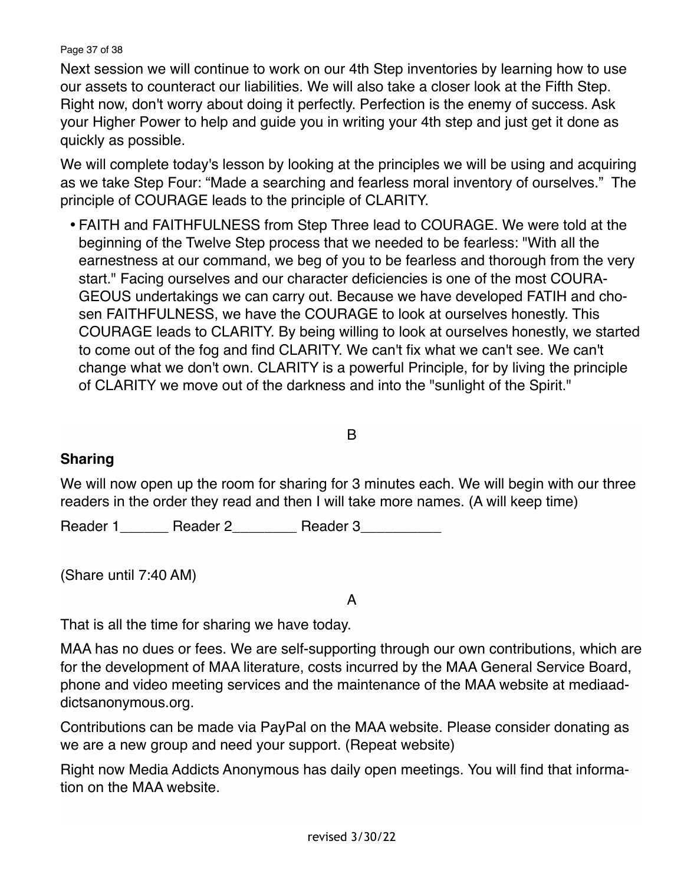#### Page 37 of 38

Next session we will continue to work on our 4th Step inventories by learning how to use our assets to counteract our liabilities. We will also take a closer look at the Fifth Step. Right now, don't worry about doing it perfectly. Perfection is the enemy of success. Ask your Higher Power to help and guide you in writing your 4th step and just get it done as quickly as possible.

We will complete today's lesson by looking at the principles we will be using and acquiring as we take Step Four: "Made a searching and fearless moral inventory of ourselves." The principle of COURAGE leads to the principle of CLARITY.

• FAITH and FAITHFULNESS from Step Three lead to COURAGE. We were told at the beginning of the Twelve Step process that we needed to be fearless: "With all the earnestness at our command, we beg of you to be fearless and thorough from the very start." Facing ourselves and our character deficiencies is one of the most COURA-GEOUS undertakings we can carry out. Because we have developed FATIH and chosen FAITHFULNESS, we have the COURAGE to look at ourselves honestly. This COURAGE leads to CLARITY. By being willing to look at ourselves honestly, we started to come out of the fog and find CLARITY. We can't fix what we can't see. We can't change what we don't own. CLARITY is a powerful Principle, for by living the principle of CLARITY we move out of the darkness and into the "sunlight of the Spirit."

B

## **Sharing**

We will now open up the room for sharing for 3 minutes each. We will begin with our three readers in the order they read and then I will take more names. (A will keep time)

Reader 1\_\_\_\_\_\_\_\_ Reader 2\_\_\_\_\_\_\_\_\_ Reader 3

(Share until 7:40 AM)

A

That is all the time for sharing we have today.

MAA has no dues or fees. We are self-supporting through our own contributions, which are for the development of MAA literature, costs incurred by the MAA General Service Board, phone and video meeting services and the maintenance of the MAA website at mediaaddictsanonymous.org.

Contributions can be made via PayPal on the MAA website. Please consider donating as we are a new group and need your support. (Repeat website)

Right now Media Addicts Anonymous has daily open meetings. You will find that information on the MAA website.